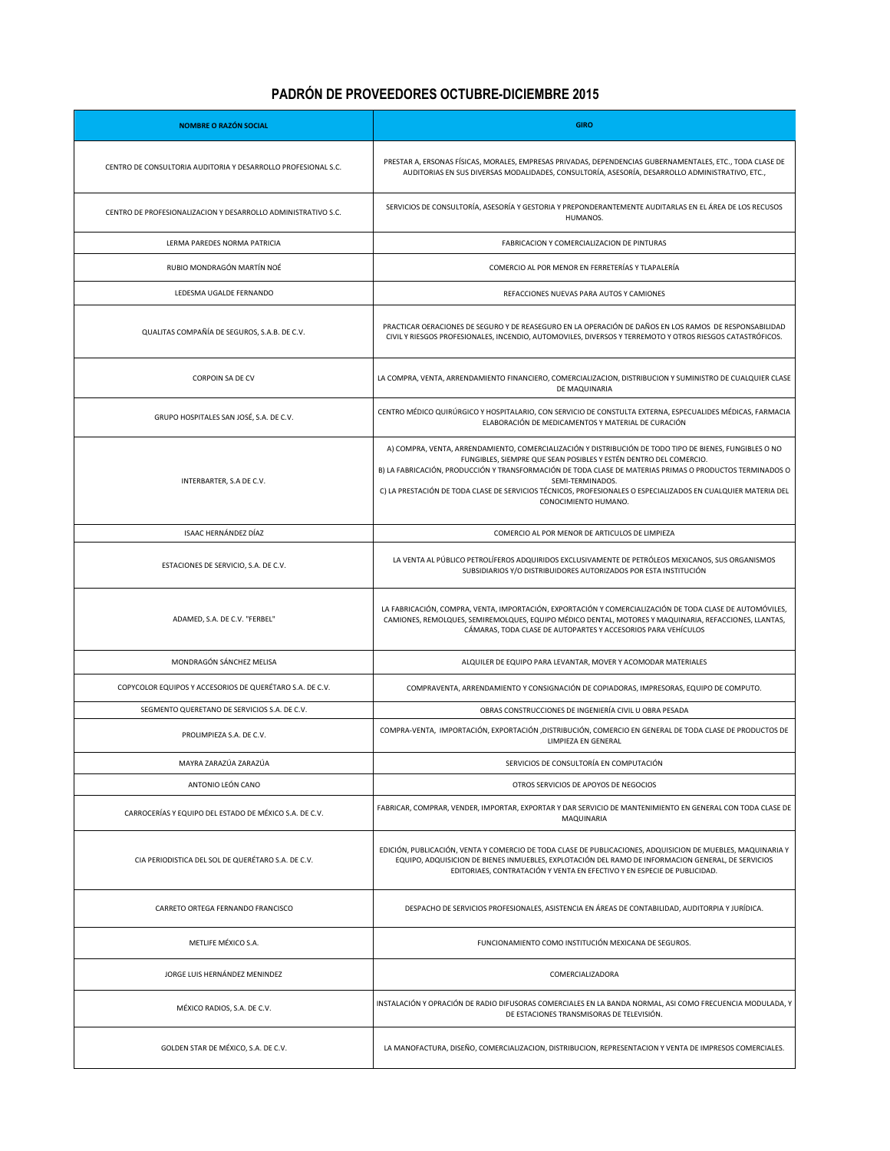## **PADRÓN DE PROVEEDORES OCTUBRE-DICIEMBRE 2015**

| <b>NOMBRE O RAZÓN SOCIAL</b>                                  | <b>GIRO</b>                                                                                                                                                                                                                                                                                                                                                                                                                                           |
|---------------------------------------------------------------|-------------------------------------------------------------------------------------------------------------------------------------------------------------------------------------------------------------------------------------------------------------------------------------------------------------------------------------------------------------------------------------------------------------------------------------------------------|
| CENTRO DE CONSULTORIA AUDITORIA Y DESARROLLO PROFESIONAL S.C. | PRESTAR A, ERSONAS FÍSICAS, MORALES, EMPRESAS PRIVADAS, DEPENDENCIAS GUBERNAMENTALES, ETC., TODA CLASE DE<br>AUDITORIAS EN SUS DIVERSAS MODALIDADES, CONSULTORÍA, ASESORÍA, DESARROLLO ADMINISTRATIVO, ETC.,                                                                                                                                                                                                                                          |
| CENTRO DE PROFESIONALIZACION Y DESARROLLO ADMINISTRATIVO S.C. | SERVICIOS DE CONSULTORÍA, ASESORÍA Y GESTORIA Y PREPONDERANTEMENTE AUDITARLAS EN EL ÁREA DE LOS RECUSOS<br>HUMANOS.                                                                                                                                                                                                                                                                                                                                   |
| LERMA PAREDES NORMA PATRICIA                                  | FABRICACION Y COMERCIALIZACION DE PINTURAS                                                                                                                                                                                                                                                                                                                                                                                                            |
| RUBIO MONDRAGÓN MARTÍN NOÉ                                    | COMERCIO AL POR MENOR EN FERRETERÍAS Y TLAPALERÍA                                                                                                                                                                                                                                                                                                                                                                                                     |
| LEDESMA UGALDE FERNANDO                                       | REFACCIONES NUEVAS PARA AUTOS Y CAMIONES                                                                                                                                                                                                                                                                                                                                                                                                              |
| QUALITAS COMPAÑÍA DE SEGUROS, S.A.B. DE C.V.                  | PRACTICAR OERACIONES DE SEGURO Y DE REASEGURO EN LA OPERACIÓN DE DAÑOS EN LOS RAMOS DE RESPONSABILIDAD<br>CIVIL Y RIESGOS PROFESIONALES, INCENDIO, AUTOMOVILES, DIVERSOS Y TERREMOTO Y OTROS RIESGOS CATASTRÓFICOS.                                                                                                                                                                                                                                   |
| <b>CORPOIN SA DE CV</b>                                       | LA COMPRA, VENTA, ARRENDAMIENTO FINANCIERO, COMERCIALIZACION, DISTRIBUCION Y SUMINISTRO DE CUALQUIER CLASE<br>DE MAQUINARIA                                                                                                                                                                                                                                                                                                                           |
| GRUPO HOSPITALES SAN JOSÉ, S.A. DE C.V.                       | CENTRO MÉDICO QUIRÚRGICO Y HOSPITALARIO, CON SERVICIO DE CONSTULTA EXTERNA, ESPECUALIDES MÉDICAS, FARMACIA<br>ELABORACIÓN DE MEDICAMENTOS Y MATERIAL DE CURACIÓN                                                                                                                                                                                                                                                                                      |
| INTERBARTER, S.A DE C.V.                                      | A) COMPRA, VENTA, ARRENDAMIENTO, COMERCIALIZACIÓN Y DISTRIBUCIÓN DE TODO TIPO DE BIENES, FUNGIBLES O NO<br>FUNGIBLES, SIEMPRE QUE SEAN POSIBLES Y ESTÉN DENTRO DEL COMERCIO.<br>B) LA FABRICACIÓN, PRODUCCIÓN Y TRANSFORMACIÓN DE TODA CLASE DE MATERIAS PRIMAS O PRODUCTOS TERMINADOS O<br>SEMI-TERMINADOS.<br>C) LA PRESTACIÓN DE TODA CLASE DE SERVICIOS TÉCNICOS, PROFESIONALES O ESPECIALIZADOS EN CUALQUIER MATERIA DEL<br>CONOCIMIENTO HUMANO. |
| ISAAC HERNÁNDEZ DÍAZ                                          | COMERCIO AL POR MENOR DE ARTICULOS DE LIMPIEZA                                                                                                                                                                                                                                                                                                                                                                                                        |
| ESTACIONES DE SERVICIO, S.A. DE C.V.                          | LA VENTA AL PÚBLICO PETROLÍFEROS ADQUIRIDOS EXCLUSIVAMENTE DE PETRÓLEOS MEXICANOS, SUS ORGANISMOS<br>SUBSIDIARIOS Y/O DISTRIBUIDORES AUTORIZADOS POR ESTA INSTITUCIÓN                                                                                                                                                                                                                                                                                 |
| ADAMED, S.A. DE C.V. "FERBEL"                                 | LA FABRICACIÓN, COMPRA, VENTA, IMPORTACIÓN, EXPORTACIÓN Y COMERCIALIZACIÓN DE TODA CLASE DE AUTOMÓVILES,<br>CAMIONES, REMOLQUES, SEMIREMOLQUES, EQUIPO MÉDICO DENTAL, MOTORES Y MAQUINARIA, REFACCIONES, LLANTAS,<br>CÁMARAS, TODA CLASE DE AUTOPARTES Y ACCESORIOS PARA VEHÍCULOS                                                                                                                                                                    |
| MONDRAGÓN SÁNCHEZ MELISA                                      | ALQUILER DE EQUIPO PARA LEVANTAR, MOVER Y ACOMODAR MATERIALES                                                                                                                                                                                                                                                                                                                                                                                         |
| COPYCOLOR EQUIPOS Y ACCESORIOS DE QUERÉTARO S.A. DE C.V.      | COMPRAVENTA, ARRENDAMIENTO Y CONSIGNACIÓN DE COPIADORAS, IMPRESORAS, EQUIPO DE COMPUTO.                                                                                                                                                                                                                                                                                                                                                               |
| SEGMENTO QUERETANO DE SERVICIOS S.A. DE C.V.                  | OBRAS CONSTRUCCIONES DE INGENIERÍA CIVIL U OBRA PESADA                                                                                                                                                                                                                                                                                                                                                                                                |
| PROLIMPIEZA S.A. DE C.V.                                      | COMPRA-VENTA, IMPORTACIÓN, EXPORTACIÓN , DISTRIBUCIÓN, COMERCIO EN GENERAL DE TODA CLASE DE PRODUCTOS DE<br>LIMPIEZA EN GENERAL                                                                                                                                                                                                                                                                                                                       |
| MAYRA ZARAZÚA ZARAZÚA                                         | SERVICIOS DE CONSULTORÍA EN COMPUTACIÓN                                                                                                                                                                                                                                                                                                                                                                                                               |
| ANTONIO LEÓN CANO                                             | OTROS SERVICIOS DE APOYOS DE NEGOCIOS                                                                                                                                                                                                                                                                                                                                                                                                                 |
| CARROCERÍAS Y EQUIPO DEL ESTADO DE MÉXICO S.A. DE C.V.        | FABRICAR, COMPRAR, VENDER, IMPORTAR, EXPORTAR Y DAR SERVICIO DE MANTENIMIENTO EN GENERAL CON TODA CLASE DE<br>MAQUINARIA                                                                                                                                                                                                                                                                                                                              |
| CIA PERIODISTICA DEL SOL DE QUERÉTARO S.A. DE C.V.            | EDICIÓN, PUBLICACIÓN, VENTA Y COMERCIO DE TODA CLASE DE PUBLICACIONES, ADQUISICION DE MUEBLES, MAQUINARIA Y<br>EQUIPO, ADQUISICION DE BIENES INMUEBLES, EXPLOTACIÓN DEL RAMO DE INFORMACION GENERAL, DE SERVICIOS<br>EDITORIAES, CONTRATACIÓN Y VENTA EN EFECTIVO Y EN ESPECIE DE PUBLICIDAD.                                                                                                                                                         |
| CARRETO ORTEGA FERNANDO FRANCISCO                             | DESPACHO DE SERVICIOS PROFESIONALES, ASISTENCIA EN ÁREAS DE CONTABILIDAD, AUDITORPIA Y JURÍDICA.                                                                                                                                                                                                                                                                                                                                                      |
| METLIFE MÉXICO S.A.                                           | FUNCIONAMIENTO COMO INSTITUCIÓN MEXICANA DE SEGUROS.                                                                                                                                                                                                                                                                                                                                                                                                  |
| JORGE LUIS HERNÁNDEZ MENINDEZ                                 | COMERCIALIZADORA                                                                                                                                                                                                                                                                                                                                                                                                                                      |
| MÉXICO RADIOS, S.A. DE C.V.                                   | INSTALACIÓN Y OPRACIÓN DE RADIO DIFUSORAS COMERCIALES EN LA BANDA NORMAL, ASI COMO FRECUENCIA MODULADA, Y<br>DE ESTACIONES TRANSMISORAS DE TELEVISIÓN.                                                                                                                                                                                                                                                                                                |
| GOLDEN STAR DE MÉXICO, S.A. DE C.V.                           | LA MANOFACTURA, DISEÑO, COMERCIALIZACION, DISTRIBUCION, REPRESENTACION Y VENTA DE IMPRESOS COMERCIALES.                                                                                                                                                                                                                                                                                                                                               |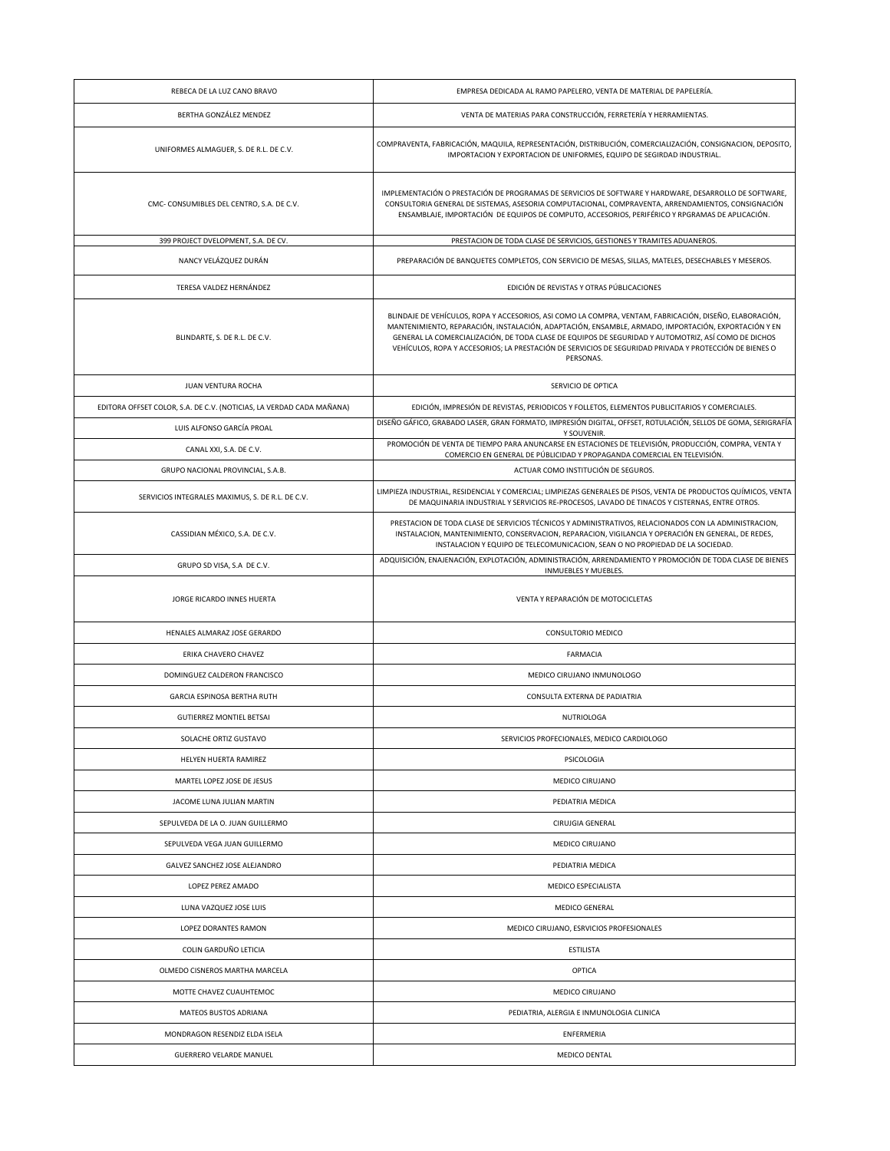| REBECA DE LA LUZ CANO BRAVO                                          | EMPRESA DEDICADA AL RAMO PAPELERO, VENTA DE MATERIAL DE PAPELERÍA.                                                                                                                                                                                                                                                                                                                                                                           |
|----------------------------------------------------------------------|----------------------------------------------------------------------------------------------------------------------------------------------------------------------------------------------------------------------------------------------------------------------------------------------------------------------------------------------------------------------------------------------------------------------------------------------|
| BERTHA GONZÁLEZ MENDEZ                                               | VENTA DE MATERIAS PARA CONSTRUCCIÓN, FERRETERÍA Y HERRAMIENTAS.                                                                                                                                                                                                                                                                                                                                                                              |
| UNIFORMES ALMAGUER, S. DE R.L. DE C.V.                               | COMPRAVENTA, FABRICACIÓN, MAQUILA, REPRESENTACIÓN, DISTRIBUCIÓN, COMERCIALIZACIÓN, CONSIGNACION, DEPOSITO,<br>IMPORTACION Y EXPORTACION DE UNIFORMES, EQUIPO DE SEGIRDAD INDUSTRIAL.                                                                                                                                                                                                                                                         |
| CMC-CONSUMIBLES DEL CENTRO, S.A. DE C.V.                             | IMPLEMENTACIÓN O PRESTACIÓN DE PROGRAMAS DE SERVICIOS DE SOFTWARE Y HARDWARE, DESARROLLO DE SOFTWARE,<br>CONSULTORIA GENERAL DE SISTEMAS, ASESORIA COMPUTACIONAL, COMPRAVENTA, ARRENDAMIENTOS, CONSIGNACIÓN<br>ENSAMBLAJE, IMPORTACIÓN DE EQUIPOS DE COMPUTO, ACCESORIOS, PERIFÉRICO Y RPGRAMAS DE APLICACIÓN.                                                                                                                               |
| 399 PROJECT DVELOPMENT, S.A. DE CV.                                  | PRESTACION DE TODA CLASE DE SERVICIOS, GESTIONES Y TRAMITES ADUANEROS.                                                                                                                                                                                                                                                                                                                                                                       |
| NANCY VELÁZQUEZ DURÁN                                                | PREPARACIÓN DE BANQUETES COMPLETOS, CON SERVICIO DE MESAS, SILLAS, MATELES, DESECHABLES Y MESEROS.                                                                                                                                                                                                                                                                                                                                           |
| TERESA VALDEZ HERNÁNDEZ                                              | EDICIÓN DE REVISTAS Y OTRAS PÚBLICACIONES                                                                                                                                                                                                                                                                                                                                                                                                    |
| BLINDARTE, S. DE R.L. DE C.V.                                        | BLINDAJE DE VEHÍCULOS, ROPA Y ACCESORIOS, ASI COMO LA COMPRA, VENTAM, FABRICACIÓN, DISEÑO, ELABORACIÓN,<br>MANTENIMIENTO, REPARACIÓN, INSTALACIÓN, ADAPTACIÓN, ENSAMBLE, ARMADO, IMPORTACIÓN, EXPORTACIÓN Y EN<br>GENERAL LA COMERCIALIZACIÓN, DE TODA CLASE DE EQUIPOS DE SEGURIDAD Y AUTOMOTRIZ, ASÍ COMO DE DICHOS<br>VEHÍCULOS, ROPA Y ACCESORIOS; LA PRESTACIÓN DE SERVICIOS DE SEGURIDAD PRIVADA Y PROTECCIÓN DE BIENES O<br>PERSONAS. |
| JUAN VENTURA ROCHA                                                   | SERVICIO DE OPTICA                                                                                                                                                                                                                                                                                                                                                                                                                           |
| EDITORA OFFSET COLOR, S.A. DE C.V. (NOTICIAS, LA VERDAD CADA MAÑANA) | EDICIÓN, IMPRESIÓN DE REVISTAS, PERIODICOS Y FOLLETOS, ELEMENTOS PUBLICITARIOS Y COMERCIALES.                                                                                                                                                                                                                                                                                                                                                |
| LUIS ALFONSO GARCÍA PROAL                                            | DISEÑO GÁFICO, GRABADO LASER, GRAN FORMATO, IMPRESIÓN DIGITAL, OFFSET, ROTULACIÓN, SELLOS DE GOMA, SERIGRAFÍA<br>Y SOUVENIR.                                                                                                                                                                                                                                                                                                                 |
| CANAL XXI, S.A. DE C.V.                                              | PROMOCIÓN DE VENTA DE TIEMPO PARA ANUNCARSE EN ESTACIONES DE TELEVISIÓN, PRODUCCIÓN, COMPRA, VENTA Y<br>COMERCIO EN GENERAL DE PÚBLICIDAD Y PROPAGANDA COMERCIAL EN TELEVISIÓN.                                                                                                                                                                                                                                                              |
| GRUPO NACIONAL PROVINCIAL, S.A.B.                                    | ACTUAR COMO INSTITUCIÓN DE SEGUROS.                                                                                                                                                                                                                                                                                                                                                                                                          |
| SERVICIOS INTEGRALES MAXIMUS, S. DE R.L. DE C.V.                     | LIMPIEZA INDUSTRIAL, RESIDENCIAL Y COMERCIAL; LIMPIEZAS GENERALES DE PISOS, VENTA DE PRODUCTOS QUÍMICOS, VENTA<br>DE MAQUINARIA INDUSTRIAL Y SERVICIOS RE-PROCESOS, LAVADO DE TINACOS Y CISTERNAS, ENTRE OTROS.                                                                                                                                                                                                                              |
| CASSIDIAN MÉXICO, S.A. DE C.V.                                       | PRESTACION DE TODA CLASE DE SERVICIOS TÉCNICOS Y ADMINISTRATIVOS, RELACIONADOS CON LA ADMINISTRACION,<br>INSTALACION, MANTENIMIENTO, CONSERVACION, REPARACION, VIGILANCIA Y OPERACIÓN EN GENERAL, DE REDES,<br>INSTALACION Y EQUIPO DE TELECOMUNICACION, SEAN O NO PROPIEDAD DE LA SOCIEDAD.                                                                                                                                                 |
| GRUPO SD VISA, S.A DE C.V.                                           | ADQUISICIÓN, ENAJENACIÓN, EXPLOTACIÓN, ADMINISTRACIÓN, ARRENDAMIENTO Y PROMOCIÓN DE TODA CLASE DE BIENES<br>INMUEBLES Y MUEBLES.                                                                                                                                                                                                                                                                                                             |
| JORGE RICARDO INNES HUERTA                                           | VENTA Y REPARACIÓN DE MOTOCICLETAS                                                                                                                                                                                                                                                                                                                                                                                                           |
| HENALES ALMARAZ JOSE GERARDO                                         | CONSULTORIO MEDICO                                                                                                                                                                                                                                                                                                                                                                                                                           |
| ERIKA CHAVERO CHAVEZ                                                 | <b>FARMACIA</b>                                                                                                                                                                                                                                                                                                                                                                                                                              |
| DOMINGUEZ CALDERON FRANCISCO                                         | MEDICO CIRUJANO INMUNOLOGO                                                                                                                                                                                                                                                                                                                                                                                                                   |
| GARCIA ESPINOSA BERTHA RUTH                                          | CONSULTA EXTERNA DE PADIATRIA                                                                                                                                                                                                                                                                                                                                                                                                                |
| <b>GUTIERREZ MONTIEL BETSAI</b>                                      | <b>NUTRIOLOGA</b>                                                                                                                                                                                                                                                                                                                                                                                                                            |
| SOLACHE ORTIZ GUSTAVO                                                | SERVICIOS PROFECIONALES, MEDICO CARDIOLOGO                                                                                                                                                                                                                                                                                                                                                                                                   |
| HELYEN HUERTA RAMIREZ                                                | PSICOLOGIA                                                                                                                                                                                                                                                                                                                                                                                                                                   |
| MARTEL LOPEZ JOSE DE JESUS                                           | MEDICO CIRUJANO                                                                                                                                                                                                                                                                                                                                                                                                                              |
| JACOME LUNA JULIAN MARTIN                                            | PEDIATRIA MEDICA                                                                                                                                                                                                                                                                                                                                                                                                                             |
| SEPULVEDA DE LA O. JUAN GUILLERMO                                    | CIRUJGIA GENERAL                                                                                                                                                                                                                                                                                                                                                                                                                             |
| SEPULVEDA VEGA JUAN GUILLERMO                                        | MEDICO CIRUJANO                                                                                                                                                                                                                                                                                                                                                                                                                              |
| GALVEZ SANCHEZ JOSE ALEJANDRO                                        | PEDIATRIA MEDICA                                                                                                                                                                                                                                                                                                                                                                                                                             |
| LOPEZ PEREZ AMADO                                                    | MEDICO ESPECIALISTA                                                                                                                                                                                                                                                                                                                                                                                                                          |
| LUNA VAZQUEZ JOSE LUIS                                               | <b>MEDICO GENERAL</b>                                                                                                                                                                                                                                                                                                                                                                                                                        |
| LOPEZ DORANTES RAMON                                                 | MEDICO CIRUJANO, ESRVICIOS PROFESIONALES                                                                                                                                                                                                                                                                                                                                                                                                     |
| COLIN GARDUÑO LETICIA                                                | <b>ESTILISTA</b>                                                                                                                                                                                                                                                                                                                                                                                                                             |
| OLMEDO CISNEROS MARTHA MARCELA                                       | OPTICA                                                                                                                                                                                                                                                                                                                                                                                                                                       |
| MOTTE CHAVEZ CUAUHTEMOC                                              | MEDICO CIRUJANO                                                                                                                                                                                                                                                                                                                                                                                                                              |
| MATEOS BUSTOS ADRIANA                                                | PEDIATRIA, ALERGIA E INMUNOLOGIA CLINICA                                                                                                                                                                                                                                                                                                                                                                                                     |
| MONDRAGON RESENDIZ ELDA ISELA                                        | ENFERMERIA                                                                                                                                                                                                                                                                                                                                                                                                                                   |
| <b>GUERRERO VELARDE MANUEL</b>                                       | MEDICO DENTAL                                                                                                                                                                                                                                                                                                                                                                                                                                |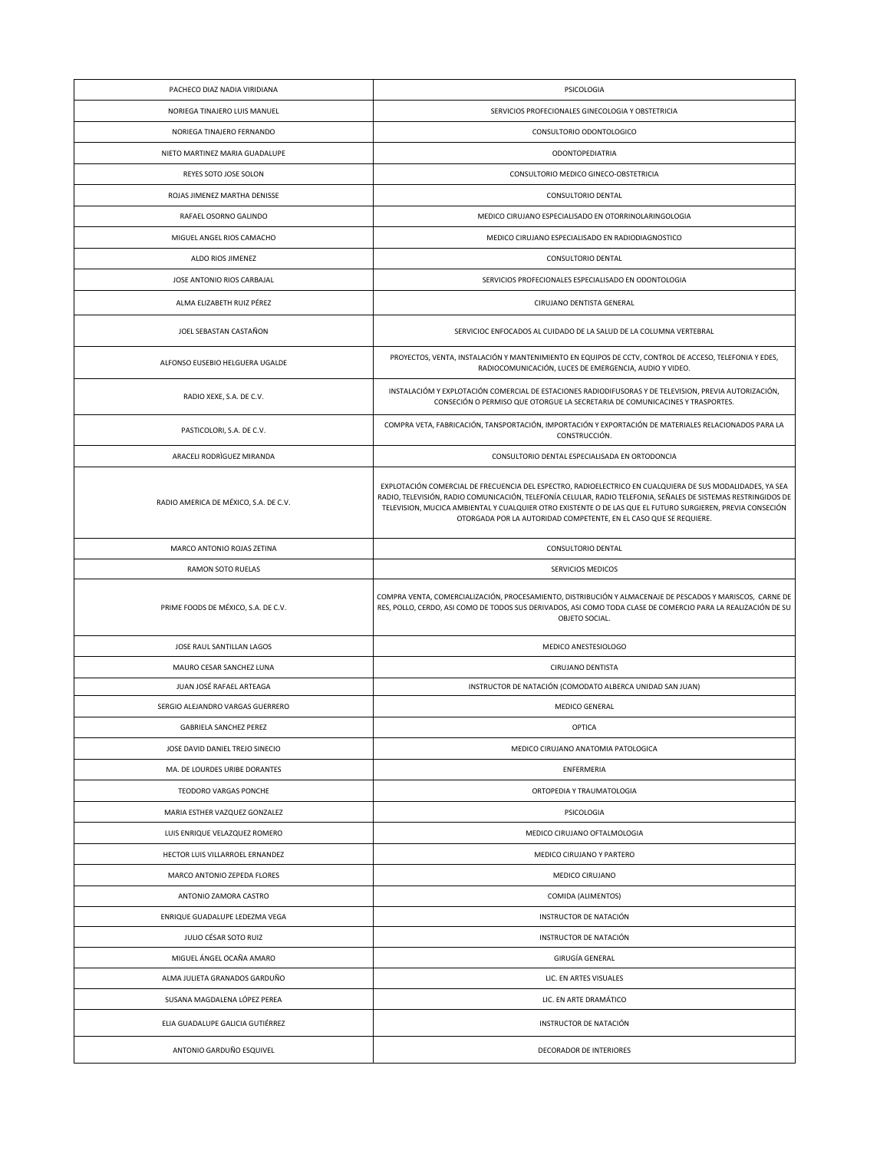| PACHECO DIAZ NADIA VIRIDIANA          | PSICOLOGIA                                                                                                                                                                                                                                                                                                                                                                                                     |
|---------------------------------------|----------------------------------------------------------------------------------------------------------------------------------------------------------------------------------------------------------------------------------------------------------------------------------------------------------------------------------------------------------------------------------------------------------------|
| NORIEGA TINAJERO LUIS MANUEL          | SERVICIOS PROFECIONALES GINECOLOGIA Y OBSTETRICIA                                                                                                                                                                                                                                                                                                                                                              |
| NORIEGA TINAJERO FERNANDO             | CONSULTORIO ODONTOLOGICO                                                                                                                                                                                                                                                                                                                                                                                       |
| NIETO MARTINEZ MARIA GUADALUPE        | <b>ODONTOPEDIATRIA</b>                                                                                                                                                                                                                                                                                                                                                                                         |
| REYES SOTO JOSE SOLON                 | CONSULTORIO MEDICO GINECO-OBSTETRICIA                                                                                                                                                                                                                                                                                                                                                                          |
| ROJAS JIMENEZ MARTHA DENISSE          | CONSULTORIO DENTAL                                                                                                                                                                                                                                                                                                                                                                                             |
| RAFAEL OSORNO GALINDO                 | MEDICO CIRUJANO ESPECIALISADO EN OTORRINOLARINGOLOGIA                                                                                                                                                                                                                                                                                                                                                          |
| MIGUEL ANGEL RIOS CAMACHO             | MEDICO CIRUJANO ESPECIALISADO EN RADIODIAGNOSTICO                                                                                                                                                                                                                                                                                                                                                              |
| ALDO RIOS JIMENEZ                     | CONSULTORIO DENTAL                                                                                                                                                                                                                                                                                                                                                                                             |
| JOSE ANTONIO RIOS CARBAJAL            | SERVICIOS PROFECIONALES ESPECIALISADO EN ODONTOLOGIA                                                                                                                                                                                                                                                                                                                                                           |
| ALMA ELIZABETH RUIZ PÉREZ             | CIRUJANO DENTISTA GENERAL                                                                                                                                                                                                                                                                                                                                                                                      |
| JOEL SEBASTAN CASTAÑON                | SERVICIOC ENFOCADOS AL CUIDADO DE LA SALUD DE LA COLUMNA VERTEBRAL                                                                                                                                                                                                                                                                                                                                             |
| ALFONSO EUSEBIO HELGUERA UGALDE       | PROYECTOS, VENTA, INSTALACIÓN Y MANTENIMIENTO EN EQUIPOS DE CCTV, CONTROL DE ACCESO, TELEFONIA Y EDES,<br>RADIOCOMUNICACIÓN, LUCES DE EMERGENCIA, AUDIO Y VIDEO.                                                                                                                                                                                                                                               |
| RADIO XEXE, S.A. DE C.V.              | INSTALACIÓM Y EXPLOTACIÓN COMERCIAL DE ESTACIONES RADIODIFUSORAS Y DE TELEVISION, PREVIA AUTORIZACIÓN,<br>CONSECIÓN O PERMISO QUE OTORGUE LA SECRETARIA DE COMUNICACINES Y TRASPORTES.                                                                                                                                                                                                                         |
| PASTICOLORI, S.A. DE C.V.             | COMPRA VETA, FABRICACIÓN, TANSPORTACIÓN, IMPORTACIÓN Y EXPORTACIÓN DE MATERIALES RELACIONADOS PARA LA<br>CONSTRUCCIÓN.                                                                                                                                                                                                                                                                                         |
| ARACELI RODRÌGUEZ MIRANDA             | CONSULTORIO DENTAL ESPECIALISADA EN ORTODONCIA                                                                                                                                                                                                                                                                                                                                                                 |
| RADIO AMERICA DE MÉXICO, S.A. DE C.V. | EXPLOTACIÓN COMERCIAL DE FRECUENCIA DEL ESPECTRO, RADIOELECTRICO EN CUALQUIERA DE SUS MODALIDADES, YA SEA<br>RADIO, TELEVISIÓN, RADIO COMUNICACIÓN, TELEFONÍA CELULAR, RADIO TELEFONIA, SEÑALES DE SISTEMAS RESTRINGIDOS DE<br>TELEVISION, MUCICA AMBIENTAL Y CUALQUIER OTRO EXISTENTE O DE LAS QUE EL FUTURO SURGIEREN, PREVIA CONSECIÓN<br>OTORGADA POR LA AUTORIDAD COMPETENTE, EN EL CASO QUE SE REQUIERE. |
| MARCO ANTONIO ROJAS ZETINA            | CONSULTORIO DENTAL                                                                                                                                                                                                                                                                                                                                                                                             |
| RAMON SOTO RUELAS                     | SERVICIOS MEDICOS                                                                                                                                                                                                                                                                                                                                                                                              |
| PRIME FOODS DE MÉXICO, S.A. DE C.V.   | COMPRA VENTA, COMERCIALIZACIÓN, PROCESAMIENTO, DISTRIBUCIÓN Y ALMACENAJE DE PESCADOS Y MARISCOS, CARNE DE<br>RES, POLLO, CERDO, ASI COMO DE TODOS SUS DERIVADOS, ASI COMO TODA CLASE DE COMERCIO PARA LA REALIZACIÓN DE SU<br>OBJETO SOCIAL.                                                                                                                                                                   |
| JOSE RAUL SANTILLAN LAGOS             | MEDICO ANESTESIOLOGO                                                                                                                                                                                                                                                                                                                                                                                           |
| MAURO CESAR SANCHEZ LUNA              | CIRUJANO DENTISTA                                                                                                                                                                                                                                                                                                                                                                                              |
| JUAN JOSÉ RAFAEL ARTEAGA              | INSTRUCTOR DE NATACIÓN (COMODATO ALBERCA UNIDAD SAN JUAN)                                                                                                                                                                                                                                                                                                                                                      |
| SERGIO ALEJANDRO VARGAS GUERRERO      | <b>MEDICO GENERAL</b>                                                                                                                                                                                                                                                                                                                                                                                          |
| <b>GABRIELA SANCHEZ PEREZ</b>         | <b>OPTICA</b>                                                                                                                                                                                                                                                                                                                                                                                                  |
| JOSE DAVID DANIEL TREJO SINECIO       | MEDICO CIRUJANO ANATOMIA PATOLOGICA                                                                                                                                                                                                                                                                                                                                                                            |
| MA. DE LOURDES URIBE DORANTES         | ENFERMERIA                                                                                                                                                                                                                                                                                                                                                                                                     |
| TEODORO VARGAS PONCHE                 | ORTOPEDIA Y TRAUMATOLOGIA                                                                                                                                                                                                                                                                                                                                                                                      |
| MARIA ESTHER VAZQUEZ GONZALEZ         | PSICOLOGIA                                                                                                                                                                                                                                                                                                                                                                                                     |
| LUIS ENRIQUE VELAZQUEZ ROMERO         | MEDICO CIRUJANO OFTALMOLOGIA                                                                                                                                                                                                                                                                                                                                                                                   |
| HECTOR LUIS VILLARROEL ERNANDEZ       | MEDICO CIRUJANO Y PARTERO                                                                                                                                                                                                                                                                                                                                                                                      |
| MARCO ANTONIO ZEPEDA FLORES           | MEDICO CIRUJANO                                                                                                                                                                                                                                                                                                                                                                                                |
| ANTONIO ZAMORA CASTRO                 | COMIDA (ALIMENTOS)                                                                                                                                                                                                                                                                                                                                                                                             |
| ENRIQUE GUADALUPE LEDEZMA VEGA        | INSTRUCTOR DE NATACIÓN                                                                                                                                                                                                                                                                                                                                                                                         |
| JULIO CÉSAR SOTO RUIZ                 | INSTRUCTOR DE NATACIÓN                                                                                                                                                                                                                                                                                                                                                                                         |
| MIGUEL ÁNGEL OCAÑA AMARO              | GIRUGÍA GENERAL                                                                                                                                                                                                                                                                                                                                                                                                |
| ALMA JULIETA GRANADOS GARDUÑO         | LIC. EN ARTES VISUALES                                                                                                                                                                                                                                                                                                                                                                                         |
| SUSANA MAGDALENA LÓPEZ PEREA          | LIC. EN ARTE DRAMÁTICO                                                                                                                                                                                                                                                                                                                                                                                         |
| ELIA GUADALUPE GALICIA GUTIÉRREZ      | INSTRUCTOR DE NATACIÓN                                                                                                                                                                                                                                                                                                                                                                                         |
| ANTONIO GARDUÑO ESQUIVEL              | DECORADOR DE INTERIORES                                                                                                                                                                                                                                                                                                                                                                                        |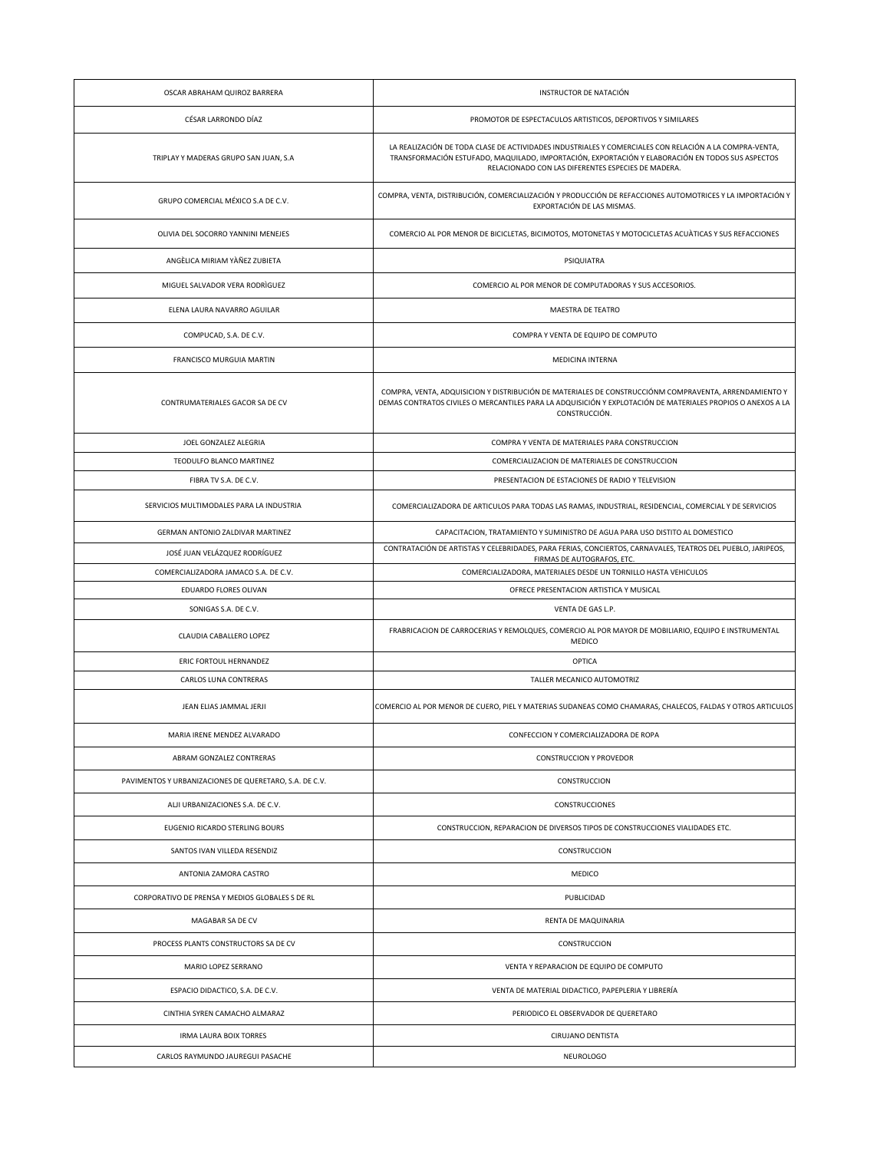| CÉSAR LARRONDO DÍAZ<br>PROMOTOR DE ESPECTACULOS ARTISTICOS, DEPORTIVOS Y SIMILARES<br>LA REALIZACIÓN DE TODA CLASE DE ACTIVIDADES INDUSTRIALES Y COMERCIALES CON RELACIÓN A LA COMPRA-VENTA,<br>TRANSFORMACIÓN ESTUFADO, MAQUILADO, IMPORTACIÓN, EXPORTACIÓN Y ELABORACIÓN EN TODOS SUS ASPECTOS<br>TRIPLAY Y MADERAS GRUPO SAN JUAN, S.A<br>RELACIONADO CON LAS DIFERENTES ESPECIES DE MADERA.<br>COMPRA, VENTA, DISTRIBUCIÓN, COMERCIALIZACIÓN Y PRODUCCIÓN DE REFACCIONES AUTOMOTRICES Y LA IMPORTACIÓN Y<br>GRUPO COMERCIAL MÉXICO S.A DE C.V.<br>EXPORTACIÓN DE LAS MISMAS.<br>COMERCIO AL POR MENOR DE BICICLETAS, BICIMOTOS, MOTONETAS Y MOTOCICLETAS ACUÀTICAS Y SUS REFACCIONES<br>OLIVIA DEL SOCORRO YANNINI MENEJES<br>ANGÈLICA MIRIAM YÀÑEZ ZUBIETA<br>PSIQUIATRA<br>MIGUEL SALVADOR VERA RODRIGUEZ<br>COMERCIO AL POR MENOR DE COMPUTADORAS Y SUS ACCESORIOS.<br>ELENA LAURA NAVARRO AGUILAR<br>MAESTRA DE TEATRO<br>COMPUCAD, S.A. DE C.V.<br>COMPRA Y VENTA DE EQUIPO DE COMPUTO<br>FRANCISCO MURGUIA MARTIN<br>MEDICINA INTERNA<br>COMPRA, VENTA, ADQUISICION Y DISTRIBUCIÓN DE MATERIALES DE CONSTRUCCIÓNM COMPRAVENTA, ARRENDAMIENTO Y<br>DEMAS CONTRATOS CIVILES O MERCANTILES PARA LA ADQUISICIÓN Y EXPLOTACIÓN DE MATERIALES PROPIOS O ANEXOS A LA<br>CONTRUMATERIALES GACOR SA DE CV<br>CONSTRUCCIÓN.<br>JOEL GONZALEZ ALEGRIA<br>COMPRA Y VENTA DE MATERIALES PARA CONSTRUCCION<br>TEODULFO BLANCO MARTINEZ<br>COMERCIALIZACION DE MATERIALES DE CONSTRUCCION<br>PRESENTACION DE ESTACIONES DE RADIO Y TELEVISION<br>FIBRA TV S.A. DE C.V.<br>SERVICIOS MULTIMODALES PARA LA INDUSTRIA<br>COMERCIALIZADORA DE ARTICULOS PARA TODAS LAS RAMAS, INDUSTRIAL, RESIDENCIAL, COMERCIAL Y DE SERVICIOS<br>GERMAN ANTONIO ZALDIVAR MARTINEZ<br>CAPACITACION, TRATAMIENTO Y SUMINISTRO DE AGUA PARA USO DISTITO AL DOMESTICO<br>CONTRATACIÓN DE ARTISTAS Y CELEBRIDADES, PARA FERIAS, CONCIERTOS, CARNAVALES, TEATROS DEL PUEBLO, JARIPEOS,<br>JOSÉ JUAN VELÁZQUEZ RODRÍGUEZ<br>FIRMAS DE AUTOGRAFOS, ETC.<br>COMERCIALIZADORA, MATERIALES DESDE UN TORNILLO HASTA VEHICULOS<br>COMERCIALIZADORA JAMACO S.A. DE C.V.<br>EDUARDO FLORES OLIVAN<br>OFRECE PRESENTACION ARTISTICA Y MUSICAL<br>VENTA DE GAS L.P.<br>SONIGAS S.A. DE C.V.<br>FRABRICACION DE CARROCERIAS Y REMOLQUES, COMERCIO AL POR MAYOR DE MOBILIARIO, EQUIPO E INSTRUMENTAL<br>CLAUDIA CABALLERO LOPEZ<br>MEDICO<br>ERIC FORTOUL HERNANDEZ<br>OPTICA<br>CARLOS LUNA CONTRERAS<br>TALLER MECANICO AUTOMOTRIZ<br>JEAN ELIAS JAMMAL JERJI<br>COMERCIO AL POR MENOR DE CUERO, PIEL Y MATERIAS SUDANEAS COMO CHAMARAS, CHALECOS, FALDAS Y OTROS ARTICULOS<br>CONFECCION Y COMERCIALIZADORA DE ROPA<br>MARIA IRENE MENDEZ ALVARADO<br>ABRAM GONZALEZ CONTRERAS<br><b>CONSTRUCCION Y PROVEDOR</b><br>PAVIMENTOS Y URBANIZACIONES DE QUERETARO, S.A. DE C.V.<br>CONSTRUCCION<br>ALJI URBANIZACIONES S.A. DE C.V.<br><b>CONSTRUCCIONES</b><br>EUGENIO RICARDO STERLING BOURS<br>CONSTRUCCION, REPARACION DE DIVERSOS TIPOS DE CONSTRUCCIONES VIALIDADES ETC.<br>CONSTRUCCION<br>SANTOS IVAN VILLEDA RESENDIZ<br>ANTONIA ZAMORA CASTRO<br>MEDICO<br>CORPORATIVO DE PRENSA Y MEDIOS GLOBALES S DE RL<br>PUBLICIDAD<br>MAGABAR SA DE CV<br>RENTA DE MAQUINARIA<br>PROCESS PLANTS CONSTRUCTORS SA DE CV<br>CONSTRUCCION<br>VENTA Y REPARACION DE EQUIPO DE COMPUTO<br>MARIO LOPEZ SERRANO<br>ESPACIO DIDACTICO, S.A. DE C.V.<br>VENTA DE MATERIAL DIDACTICO, PAPEPLERIA Y LIBRERÍA<br>CINTHIA SYREN CAMACHO ALMARAZ<br>PERIODICO EL OBSERVADOR DE QUERETARO<br><b>IRMA LAURA BOIX TORRES</b><br>CIRUJANO DENTISTA<br><b>NEUROLOGO</b><br>CARLOS RAYMUNDO JAUREGUI PASACHE | OSCAR ABRAHAM QUIROZ BARRERA | INSTRUCTOR DE NATACIÓN |
|---------------------------------------------------------------------------------------------------------------------------------------------------------------------------------------------------------------------------------------------------------------------------------------------------------------------------------------------------------------------------------------------------------------------------------------------------------------------------------------------------------------------------------------------------------------------------------------------------------------------------------------------------------------------------------------------------------------------------------------------------------------------------------------------------------------------------------------------------------------------------------------------------------------------------------------------------------------------------------------------------------------------------------------------------------------------------------------------------------------------------------------------------------------------------------------------------------------------------------------------------------------------------------------------------------------------------------------------------------------------------------------------------------------------------------------------------------------------------------------------------------------------------------------------------------------------------------------------------------------------------------------------------------------------------------------------------------------------------------------------------------------------------------------------------------------------------------------------------------------------------------------------------------------------------------------------------------------------------------------------------------------------------------------------------------------------------------------------------------------------------------------------------------------------------------------------------------------------------------------------------------------------------------------------------------------------------------------------------------------------------------------------------------------------------------------------------------------------------------------------------------------------------------------------------------------------------------------------------------------------------------------------------------------------------------------------------------------------------------------------------------------------------------------------------------------------------------------------------------------------------------------------------------------------------------------------------------------------------------------------------------------------------------------------------------------------------------------------------------------------------------------------------------------------------------------------------------------------------------------------------------------------------------------------------------------------------------------------------------------------------------------------------------------------------------------------------------------------------------------------------------------------------------------------------------------------------------------------------------------------------------------------|------------------------------|------------------------|
|                                                                                                                                                                                                                                                                                                                                                                                                                                                                                                                                                                                                                                                                                                                                                                                                                                                                                                                                                                                                                                                                                                                                                                                                                                                                                                                                                                                                                                                                                                                                                                                                                                                                                                                                                                                                                                                                                                                                                                                                                                                                                                                                                                                                                                                                                                                                                                                                                                                                                                                                                                                                                                                                                                                                                                                                                                                                                                                                                                                                                                                                                                                                                                                                                                                                                                                                                                                                                                                                                                                                                                                                                                             |                              |                        |
|                                                                                                                                                                                                                                                                                                                                                                                                                                                                                                                                                                                                                                                                                                                                                                                                                                                                                                                                                                                                                                                                                                                                                                                                                                                                                                                                                                                                                                                                                                                                                                                                                                                                                                                                                                                                                                                                                                                                                                                                                                                                                                                                                                                                                                                                                                                                                                                                                                                                                                                                                                                                                                                                                                                                                                                                                                                                                                                                                                                                                                                                                                                                                                                                                                                                                                                                                                                                                                                                                                                                                                                                                                             |                              |                        |
|                                                                                                                                                                                                                                                                                                                                                                                                                                                                                                                                                                                                                                                                                                                                                                                                                                                                                                                                                                                                                                                                                                                                                                                                                                                                                                                                                                                                                                                                                                                                                                                                                                                                                                                                                                                                                                                                                                                                                                                                                                                                                                                                                                                                                                                                                                                                                                                                                                                                                                                                                                                                                                                                                                                                                                                                                                                                                                                                                                                                                                                                                                                                                                                                                                                                                                                                                                                                                                                                                                                                                                                                                                             |                              |                        |
|                                                                                                                                                                                                                                                                                                                                                                                                                                                                                                                                                                                                                                                                                                                                                                                                                                                                                                                                                                                                                                                                                                                                                                                                                                                                                                                                                                                                                                                                                                                                                                                                                                                                                                                                                                                                                                                                                                                                                                                                                                                                                                                                                                                                                                                                                                                                                                                                                                                                                                                                                                                                                                                                                                                                                                                                                                                                                                                                                                                                                                                                                                                                                                                                                                                                                                                                                                                                                                                                                                                                                                                                                                             |                              |                        |
|                                                                                                                                                                                                                                                                                                                                                                                                                                                                                                                                                                                                                                                                                                                                                                                                                                                                                                                                                                                                                                                                                                                                                                                                                                                                                                                                                                                                                                                                                                                                                                                                                                                                                                                                                                                                                                                                                                                                                                                                                                                                                                                                                                                                                                                                                                                                                                                                                                                                                                                                                                                                                                                                                                                                                                                                                                                                                                                                                                                                                                                                                                                                                                                                                                                                                                                                                                                                                                                                                                                                                                                                                                             |                              |                        |
|                                                                                                                                                                                                                                                                                                                                                                                                                                                                                                                                                                                                                                                                                                                                                                                                                                                                                                                                                                                                                                                                                                                                                                                                                                                                                                                                                                                                                                                                                                                                                                                                                                                                                                                                                                                                                                                                                                                                                                                                                                                                                                                                                                                                                                                                                                                                                                                                                                                                                                                                                                                                                                                                                                                                                                                                                                                                                                                                                                                                                                                                                                                                                                                                                                                                                                                                                                                                                                                                                                                                                                                                                                             |                              |                        |
|                                                                                                                                                                                                                                                                                                                                                                                                                                                                                                                                                                                                                                                                                                                                                                                                                                                                                                                                                                                                                                                                                                                                                                                                                                                                                                                                                                                                                                                                                                                                                                                                                                                                                                                                                                                                                                                                                                                                                                                                                                                                                                                                                                                                                                                                                                                                                                                                                                                                                                                                                                                                                                                                                                                                                                                                                                                                                                                                                                                                                                                                                                                                                                                                                                                                                                                                                                                                                                                                                                                                                                                                                                             |                              |                        |
|                                                                                                                                                                                                                                                                                                                                                                                                                                                                                                                                                                                                                                                                                                                                                                                                                                                                                                                                                                                                                                                                                                                                                                                                                                                                                                                                                                                                                                                                                                                                                                                                                                                                                                                                                                                                                                                                                                                                                                                                                                                                                                                                                                                                                                                                                                                                                                                                                                                                                                                                                                                                                                                                                                                                                                                                                                                                                                                                                                                                                                                                                                                                                                                                                                                                                                                                                                                                                                                                                                                                                                                                                                             |                              |                        |
|                                                                                                                                                                                                                                                                                                                                                                                                                                                                                                                                                                                                                                                                                                                                                                                                                                                                                                                                                                                                                                                                                                                                                                                                                                                                                                                                                                                                                                                                                                                                                                                                                                                                                                                                                                                                                                                                                                                                                                                                                                                                                                                                                                                                                                                                                                                                                                                                                                                                                                                                                                                                                                                                                                                                                                                                                                                                                                                                                                                                                                                                                                                                                                                                                                                                                                                                                                                                                                                                                                                                                                                                                                             |                              |                        |
|                                                                                                                                                                                                                                                                                                                                                                                                                                                                                                                                                                                                                                                                                                                                                                                                                                                                                                                                                                                                                                                                                                                                                                                                                                                                                                                                                                                                                                                                                                                                                                                                                                                                                                                                                                                                                                                                                                                                                                                                                                                                                                                                                                                                                                                                                                                                                                                                                                                                                                                                                                                                                                                                                                                                                                                                                                                                                                                                                                                                                                                                                                                                                                                                                                                                                                                                                                                                                                                                                                                                                                                                                                             |                              |                        |
|                                                                                                                                                                                                                                                                                                                                                                                                                                                                                                                                                                                                                                                                                                                                                                                                                                                                                                                                                                                                                                                                                                                                                                                                                                                                                                                                                                                                                                                                                                                                                                                                                                                                                                                                                                                                                                                                                                                                                                                                                                                                                                                                                                                                                                                                                                                                                                                                                                                                                                                                                                                                                                                                                                                                                                                                                                                                                                                                                                                                                                                                                                                                                                                                                                                                                                                                                                                                                                                                                                                                                                                                                                             |                              |                        |
|                                                                                                                                                                                                                                                                                                                                                                                                                                                                                                                                                                                                                                                                                                                                                                                                                                                                                                                                                                                                                                                                                                                                                                                                                                                                                                                                                                                                                                                                                                                                                                                                                                                                                                                                                                                                                                                                                                                                                                                                                                                                                                                                                                                                                                                                                                                                                                                                                                                                                                                                                                                                                                                                                                                                                                                                                                                                                                                                                                                                                                                                                                                                                                                                                                                                                                                                                                                                                                                                                                                                                                                                                                             |                              |                        |
|                                                                                                                                                                                                                                                                                                                                                                                                                                                                                                                                                                                                                                                                                                                                                                                                                                                                                                                                                                                                                                                                                                                                                                                                                                                                                                                                                                                                                                                                                                                                                                                                                                                                                                                                                                                                                                                                                                                                                                                                                                                                                                                                                                                                                                                                                                                                                                                                                                                                                                                                                                                                                                                                                                                                                                                                                                                                                                                                                                                                                                                                                                                                                                                                                                                                                                                                                                                                                                                                                                                                                                                                                                             |                              |                        |
|                                                                                                                                                                                                                                                                                                                                                                                                                                                                                                                                                                                                                                                                                                                                                                                                                                                                                                                                                                                                                                                                                                                                                                                                                                                                                                                                                                                                                                                                                                                                                                                                                                                                                                                                                                                                                                                                                                                                                                                                                                                                                                                                                                                                                                                                                                                                                                                                                                                                                                                                                                                                                                                                                                                                                                                                                                                                                                                                                                                                                                                                                                                                                                                                                                                                                                                                                                                                                                                                                                                                                                                                                                             |                              |                        |
|                                                                                                                                                                                                                                                                                                                                                                                                                                                                                                                                                                                                                                                                                                                                                                                                                                                                                                                                                                                                                                                                                                                                                                                                                                                                                                                                                                                                                                                                                                                                                                                                                                                                                                                                                                                                                                                                                                                                                                                                                                                                                                                                                                                                                                                                                                                                                                                                                                                                                                                                                                                                                                                                                                                                                                                                                                                                                                                                                                                                                                                                                                                                                                                                                                                                                                                                                                                                                                                                                                                                                                                                                                             |                              |                        |
|                                                                                                                                                                                                                                                                                                                                                                                                                                                                                                                                                                                                                                                                                                                                                                                                                                                                                                                                                                                                                                                                                                                                                                                                                                                                                                                                                                                                                                                                                                                                                                                                                                                                                                                                                                                                                                                                                                                                                                                                                                                                                                                                                                                                                                                                                                                                                                                                                                                                                                                                                                                                                                                                                                                                                                                                                                                                                                                                                                                                                                                                                                                                                                                                                                                                                                                                                                                                                                                                                                                                                                                                                                             |                              |                        |
|                                                                                                                                                                                                                                                                                                                                                                                                                                                                                                                                                                                                                                                                                                                                                                                                                                                                                                                                                                                                                                                                                                                                                                                                                                                                                                                                                                                                                                                                                                                                                                                                                                                                                                                                                                                                                                                                                                                                                                                                                                                                                                                                                                                                                                                                                                                                                                                                                                                                                                                                                                                                                                                                                                                                                                                                                                                                                                                                                                                                                                                                                                                                                                                                                                                                                                                                                                                                                                                                                                                                                                                                                                             |                              |                        |
|                                                                                                                                                                                                                                                                                                                                                                                                                                                                                                                                                                                                                                                                                                                                                                                                                                                                                                                                                                                                                                                                                                                                                                                                                                                                                                                                                                                                                                                                                                                                                                                                                                                                                                                                                                                                                                                                                                                                                                                                                                                                                                                                                                                                                                                                                                                                                                                                                                                                                                                                                                                                                                                                                                                                                                                                                                                                                                                                                                                                                                                                                                                                                                                                                                                                                                                                                                                                                                                                                                                                                                                                                                             |                              |                        |
|                                                                                                                                                                                                                                                                                                                                                                                                                                                                                                                                                                                                                                                                                                                                                                                                                                                                                                                                                                                                                                                                                                                                                                                                                                                                                                                                                                                                                                                                                                                                                                                                                                                                                                                                                                                                                                                                                                                                                                                                                                                                                                                                                                                                                                                                                                                                                                                                                                                                                                                                                                                                                                                                                                                                                                                                                                                                                                                                                                                                                                                                                                                                                                                                                                                                                                                                                                                                                                                                                                                                                                                                                                             |                              |                        |
|                                                                                                                                                                                                                                                                                                                                                                                                                                                                                                                                                                                                                                                                                                                                                                                                                                                                                                                                                                                                                                                                                                                                                                                                                                                                                                                                                                                                                                                                                                                                                                                                                                                                                                                                                                                                                                                                                                                                                                                                                                                                                                                                                                                                                                                                                                                                                                                                                                                                                                                                                                                                                                                                                                                                                                                                                                                                                                                                                                                                                                                                                                                                                                                                                                                                                                                                                                                                                                                                                                                                                                                                                                             |                              |                        |
|                                                                                                                                                                                                                                                                                                                                                                                                                                                                                                                                                                                                                                                                                                                                                                                                                                                                                                                                                                                                                                                                                                                                                                                                                                                                                                                                                                                                                                                                                                                                                                                                                                                                                                                                                                                                                                                                                                                                                                                                                                                                                                                                                                                                                                                                                                                                                                                                                                                                                                                                                                                                                                                                                                                                                                                                                                                                                                                                                                                                                                                                                                                                                                                                                                                                                                                                                                                                                                                                                                                                                                                                                                             |                              |                        |
|                                                                                                                                                                                                                                                                                                                                                                                                                                                                                                                                                                                                                                                                                                                                                                                                                                                                                                                                                                                                                                                                                                                                                                                                                                                                                                                                                                                                                                                                                                                                                                                                                                                                                                                                                                                                                                                                                                                                                                                                                                                                                                                                                                                                                                                                                                                                                                                                                                                                                                                                                                                                                                                                                                                                                                                                                                                                                                                                                                                                                                                                                                                                                                                                                                                                                                                                                                                                                                                                                                                                                                                                                                             |                              |                        |
|                                                                                                                                                                                                                                                                                                                                                                                                                                                                                                                                                                                                                                                                                                                                                                                                                                                                                                                                                                                                                                                                                                                                                                                                                                                                                                                                                                                                                                                                                                                                                                                                                                                                                                                                                                                                                                                                                                                                                                                                                                                                                                                                                                                                                                                                                                                                                                                                                                                                                                                                                                                                                                                                                                                                                                                                                                                                                                                                                                                                                                                                                                                                                                                                                                                                                                                                                                                                                                                                                                                                                                                                                                             |                              |                        |
|                                                                                                                                                                                                                                                                                                                                                                                                                                                                                                                                                                                                                                                                                                                                                                                                                                                                                                                                                                                                                                                                                                                                                                                                                                                                                                                                                                                                                                                                                                                                                                                                                                                                                                                                                                                                                                                                                                                                                                                                                                                                                                                                                                                                                                                                                                                                                                                                                                                                                                                                                                                                                                                                                                                                                                                                                                                                                                                                                                                                                                                                                                                                                                                                                                                                                                                                                                                                                                                                                                                                                                                                                                             |                              |                        |
|                                                                                                                                                                                                                                                                                                                                                                                                                                                                                                                                                                                                                                                                                                                                                                                                                                                                                                                                                                                                                                                                                                                                                                                                                                                                                                                                                                                                                                                                                                                                                                                                                                                                                                                                                                                                                                                                                                                                                                                                                                                                                                                                                                                                                                                                                                                                                                                                                                                                                                                                                                                                                                                                                                                                                                                                                                                                                                                                                                                                                                                                                                                                                                                                                                                                                                                                                                                                                                                                                                                                                                                                                                             |                              |                        |
|                                                                                                                                                                                                                                                                                                                                                                                                                                                                                                                                                                                                                                                                                                                                                                                                                                                                                                                                                                                                                                                                                                                                                                                                                                                                                                                                                                                                                                                                                                                                                                                                                                                                                                                                                                                                                                                                                                                                                                                                                                                                                                                                                                                                                                                                                                                                                                                                                                                                                                                                                                                                                                                                                                                                                                                                                                                                                                                                                                                                                                                                                                                                                                                                                                                                                                                                                                                                                                                                                                                                                                                                                                             |                              |                        |
|                                                                                                                                                                                                                                                                                                                                                                                                                                                                                                                                                                                                                                                                                                                                                                                                                                                                                                                                                                                                                                                                                                                                                                                                                                                                                                                                                                                                                                                                                                                                                                                                                                                                                                                                                                                                                                                                                                                                                                                                                                                                                                                                                                                                                                                                                                                                                                                                                                                                                                                                                                                                                                                                                                                                                                                                                                                                                                                                                                                                                                                                                                                                                                                                                                                                                                                                                                                                                                                                                                                                                                                                                                             |                              |                        |
|                                                                                                                                                                                                                                                                                                                                                                                                                                                                                                                                                                                                                                                                                                                                                                                                                                                                                                                                                                                                                                                                                                                                                                                                                                                                                                                                                                                                                                                                                                                                                                                                                                                                                                                                                                                                                                                                                                                                                                                                                                                                                                                                                                                                                                                                                                                                                                                                                                                                                                                                                                                                                                                                                                                                                                                                                                                                                                                                                                                                                                                                                                                                                                                                                                                                                                                                                                                                                                                                                                                                                                                                                                             |                              |                        |
|                                                                                                                                                                                                                                                                                                                                                                                                                                                                                                                                                                                                                                                                                                                                                                                                                                                                                                                                                                                                                                                                                                                                                                                                                                                                                                                                                                                                                                                                                                                                                                                                                                                                                                                                                                                                                                                                                                                                                                                                                                                                                                                                                                                                                                                                                                                                                                                                                                                                                                                                                                                                                                                                                                                                                                                                                                                                                                                                                                                                                                                                                                                                                                                                                                                                                                                                                                                                                                                                                                                                                                                                                                             |                              |                        |
|                                                                                                                                                                                                                                                                                                                                                                                                                                                                                                                                                                                                                                                                                                                                                                                                                                                                                                                                                                                                                                                                                                                                                                                                                                                                                                                                                                                                                                                                                                                                                                                                                                                                                                                                                                                                                                                                                                                                                                                                                                                                                                                                                                                                                                                                                                                                                                                                                                                                                                                                                                                                                                                                                                                                                                                                                                                                                                                                                                                                                                                                                                                                                                                                                                                                                                                                                                                                                                                                                                                                                                                                                                             |                              |                        |
|                                                                                                                                                                                                                                                                                                                                                                                                                                                                                                                                                                                                                                                                                                                                                                                                                                                                                                                                                                                                                                                                                                                                                                                                                                                                                                                                                                                                                                                                                                                                                                                                                                                                                                                                                                                                                                                                                                                                                                                                                                                                                                                                                                                                                                                                                                                                                                                                                                                                                                                                                                                                                                                                                                                                                                                                                                                                                                                                                                                                                                                                                                                                                                                                                                                                                                                                                                                                                                                                                                                                                                                                                                             |                              |                        |
|                                                                                                                                                                                                                                                                                                                                                                                                                                                                                                                                                                                                                                                                                                                                                                                                                                                                                                                                                                                                                                                                                                                                                                                                                                                                                                                                                                                                                                                                                                                                                                                                                                                                                                                                                                                                                                                                                                                                                                                                                                                                                                                                                                                                                                                                                                                                                                                                                                                                                                                                                                                                                                                                                                                                                                                                                                                                                                                                                                                                                                                                                                                                                                                                                                                                                                                                                                                                                                                                                                                                                                                                                                             |                              |                        |
|                                                                                                                                                                                                                                                                                                                                                                                                                                                                                                                                                                                                                                                                                                                                                                                                                                                                                                                                                                                                                                                                                                                                                                                                                                                                                                                                                                                                                                                                                                                                                                                                                                                                                                                                                                                                                                                                                                                                                                                                                                                                                                                                                                                                                                                                                                                                                                                                                                                                                                                                                                                                                                                                                                                                                                                                                                                                                                                                                                                                                                                                                                                                                                                                                                                                                                                                                                                                                                                                                                                                                                                                                                             |                              |                        |
|                                                                                                                                                                                                                                                                                                                                                                                                                                                                                                                                                                                                                                                                                                                                                                                                                                                                                                                                                                                                                                                                                                                                                                                                                                                                                                                                                                                                                                                                                                                                                                                                                                                                                                                                                                                                                                                                                                                                                                                                                                                                                                                                                                                                                                                                                                                                                                                                                                                                                                                                                                                                                                                                                                                                                                                                                                                                                                                                                                                                                                                                                                                                                                                                                                                                                                                                                                                                                                                                                                                                                                                                                                             |                              |                        |
|                                                                                                                                                                                                                                                                                                                                                                                                                                                                                                                                                                                                                                                                                                                                                                                                                                                                                                                                                                                                                                                                                                                                                                                                                                                                                                                                                                                                                                                                                                                                                                                                                                                                                                                                                                                                                                                                                                                                                                                                                                                                                                                                                                                                                                                                                                                                                                                                                                                                                                                                                                                                                                                                                                                                                                                                                                                                                                                                                                                                                                                                                                                                                                                                                                                                                                                                                                                                                                                                                                                                                                                                                                             |                              |                        |
|                                                                                                                                                                                                                                                                                                                                                                                                                                                                                                                                                                                                                                                                                                                                                                                                                                                                                                                                                                                                                                                                                                                                                                                                                                                                                                                                                                                                                                                                                                                                                                                                                                                                                                                                                                                                                                                                                                                                                                                                                                                                                                                                                                                                                                                                                                                                                                                                                                                                                                                                                                                                                                                                                                                                                                                                                                                                                                                                                                                                                                                                                                                                                                                                                                                                                                                                                                                                                                                                                                                                                                                                                                             |                              |                        |
|                                                                                                                                                                                                                                                                                                                                                                                                                                                                                                                                                                                                                                                                                                                                                                                                                                                                                                                                                                                                                                                                                                                                                                                                                                                                                                                                                                                                                                                                                                                                                                                                                                                                                                                                                                                                                                                                                                                                                                                                                                                                                                                                                                                                                                                                                                                                                                                                                                                                                                                                                                                                                                                                                                                                                                                                                                                                                                                                                                                                                                                                                                                                                                                                                                                                                                                                                                                                                                                                                                                                                                                                                                             |                              |                        |
|                                                                                                                                                                                                                                                                                                                                                                                                                                                                                                                                                                                                                                                                                                                                                                                                                                                                                                                                                                                                                                                                                                                                                                                                                                                                                                                                                                                                                                                                                                                                                                                                                                                                                                                                                                                                                                                                                                                                                                                                                                                                                                                                                                                                                                                                                                                                                                                                                                                                                                                                                                                                                                                                                                                                                                                                                                                                                                                                                                                                                                                                                                                                                                                                                                                                                                                                                                                                                                                                                                                                                                                                                                             |                              |                        |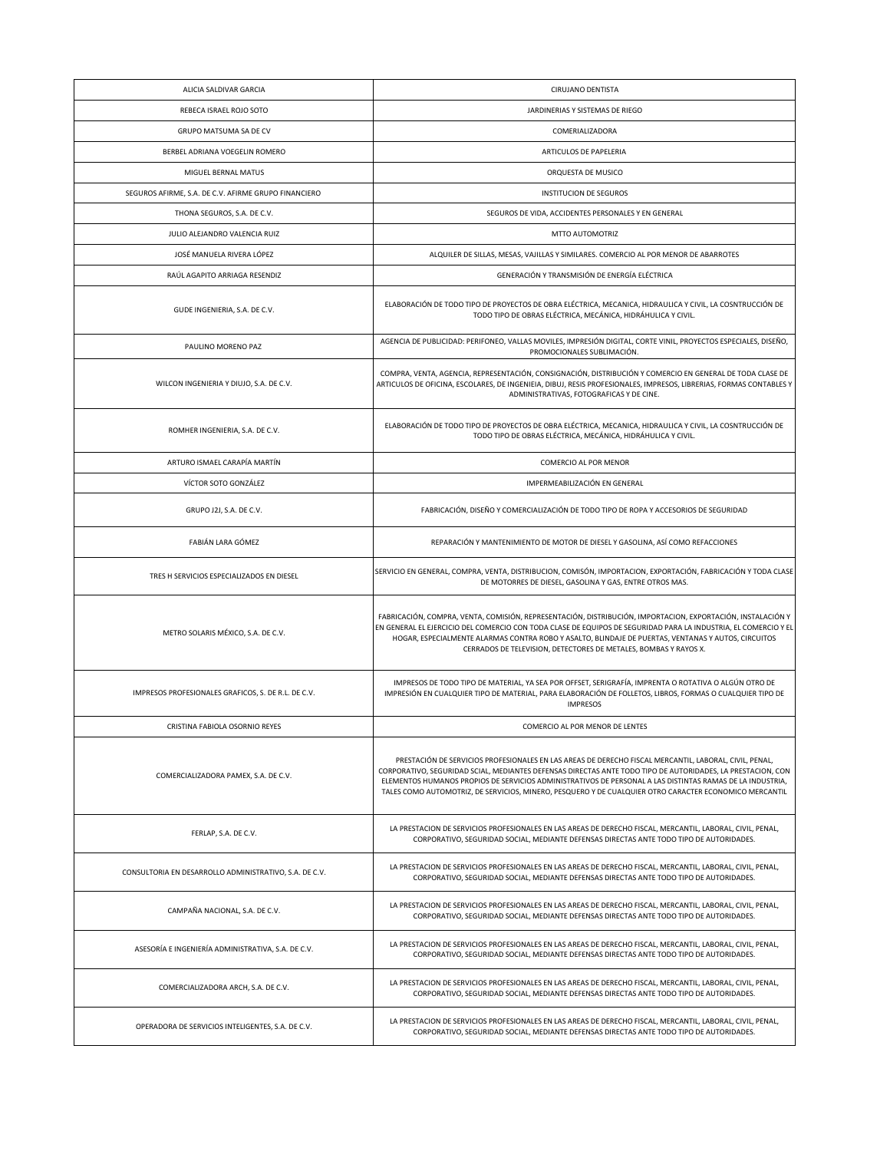| ALICIA SALDIVAR GARCIA                                 | <b>CIRUJANO DENTISTA</b>                                                                                                                                                                                                                                                                                                                                                                                                                     |
|--------------------------------------------------------|----------------------------------------------------------------------------------------------------------------------------------------------------------------------------------------------------------------------------------------------------------------------------------------------------------------------------------------------------------------------------------------------------------------------------------------------|
| REBECA ISRAEL ROJO SOTO                                | JARDINERIAS Y SISTEMAS DE RIEGO                                                                                                                                                                                                                                                                                                                                                                                                              |
| GRUPO MATSUMA SA DE CV                                 | COMERIALIZADORA                                                                                                                                                                                                                                                                                                                                                                                                                              |
| BERBEL ADRIANA VOEGELIN ROMERO                         | ARTICULOS DE PAPELERIA                                                                                                                                                                                                                                                                                                                                                                                                                       |
| MIGUEL BERNAL MATUS                                    | ORQUESTA DE MUSICO                                                                                                                                                                                                                                                                                                                                                                                                                           |
| SEGUROS AFIRME, S.A. DE C.V. AFIRME GRUPO FINANCIERO   | <b>INSTITUCION DE SEGUROS</b>                                                                                                                                                                                                                                                                                                                                                                                                                |
| THONA SEGUROS, S.A. DE C.V.                            | SEGUROS DE VIDA, ACCIDENTES PERSONALES Y EN GENERAL                                                                                                                                                                                                                                                                                                                                                                                          |
| JULIO ALEJANDRO VALENCIA RUIZ                          | MTTO AUTOMOTRIZ                                                                                                                                                                                                                                                                                                                                                                                                                              |
| JOSÉ MANUELA RIVERA LÓPEZ                              | ALQUILER DE SILLAS, MESAS, VAJILLAS Y SIMILARES. COMERCIO AL POR MENOR DE ABARROTES                                                                                                                                                                                                                                                                                                                                                          |
| RAÚL AGAPITO ARRIAGA RESENDIZ                          | GENERACIÓN Y TRANSMISIÓN DE ENERGÍA ELÉCTRICA                                                                                                                                                                                                                                                                                                                                                                                                |
| GUDE INGENIERIA, S.A. DE C.V.                          | ELABORACIÓN DE TODO TIPO DE PROYECTOS DE OBRA ELÉCTRICA, MECANICA, HIDRAULICA Y CIVIL, LA COSNTRUCCIÓN DE<br>TODO TIPO DE OBRAS ELÉCTRICA, MECÁNICA, HIDRÁHULICA Y CIVIL.                                                                                                                                                                                                                                                                    |
| PAULINO MORENO PAZ                                     | AGENCIA DE PUBLICIDAD: PERIFONEO, VALLAS MOVILES, IMPRESIÓN DIGITAL, CORTE VINIL, PROYECTOS ESPECIALES, DISEÑO,<br>PROMOCIONALES SUBLIMACIÓN.                                                                                                                                                                                                                                                                                                |
| WILCON INGENIERIA Y DIUJO, S.A. DE C.V.                | COMPRA, VENTA, AGENCIA, REPRESENTACIÓN, CONSIGNACIÓN, DISTRIBUCIÓN Y COMERCIO EN GENERAL DE TODA CLASE DE<br>ARTICULOS DE OFICINA, ESCOLARES, DE INGENIEIA, DIBUJ, RESIS PROFESIONALES, IMPRESOS, LIBRERIAS, FORMAS CONTABLES Y<br>ADMINISTRATIVAS, FOTOGRAFICAS Y DE CINE.                                                                                                                                                                  |
| ROMHER INGENIERIA, S.A. DE C.V.                        | ELABORACIÓN DE TODO TIPO DE PROYECTOS DE OBRA ELÉCTRICA, MECANICA, HIDRAULICA Y CIVIL, LA COSNTRUCCIÓN DE<br>TODO TIPO DE OBRAS ELÉCTRICA, MECÁNICA, HIDRÁHULICA Y CIVIL.                                                                                                                                                                                                                                                                    |
| ARTURO ISMAEL CARAPÍA MARTÍN                           | COMERCIO AL POR MENOR                                                                                                                                                                                                                                                                                                                                                                                                                        |
| VÍCTOR SOTO GONZÁLEZ                                   | IMPERMEABILIZACIÓN EN GENERAL                                                                                                                                                                                                                                                                                                                                                                                                                |
| GRUPO J2J, S.A. DE C.V.                                | FABRICACIÓN, DISEÑO Y COMERCIALIZACIÓN DE TODO TIPO DE ROPA Y ACCESORIOS DE SEGURIDAD                                                                                                                                                                                                                                                                                                                                                        |
| FABIÁN LARA GÓMEZ                                      | REPARACIÓN Y MANTENIMIENTO DE MOTOR DE DIESEL Y GASOLINA, ASÍ COMO REFACCIONES                                                                                                                                                                                                                                                                                                                                                               |
| TRES H SERVICIOS ESPECIALIZADOS EN DIESEL              | SERVICIO EN GENERAL, COMPRA, VENTA, DISTRIBUCION, COMISÓN, IMPORTACION, EXPORTACIÓN, FABRICACIÓN Y TODA CLASE<br>DE MOTORRES DE DIESEL, GASOLINA Y GAS, ENTRE OTROS MAS.                                                                                                                                                                                                                                                                     |
| METRO SOLARIS MÉXICO, S.A. DE C.V.                     | FABRICACIÓN, COMPRA, VENTA, COMISIÓN, REPRESENTACIÓN, DISTRIBUCIÓN, IMPORTACION, EXPORTACIÓN, INSTALACIÓN Y<br>EN GENERAL EL EJERCICIO DEL COMERCIO CON TODA CLASE DE EQUIPOS DE SEGURIDAD PARA LA INDUSTRIA, EL COMERCIO Y EL<br>HOGAR, ESPECIALMENTE ALARMAS CONTRA ROBO Y ASALTO, BLINDAJE DE PUERTAS, VENTANAS Y AUTOS, CIRCUITOS<br>CERRADOS DE TELEVISION, DETECTORES DE METALES, BOMBAS Y RAYOS X.                                    |
| IMPRESOS PROFESIONALES GRAFICOS, S. DE R.L. DE C.V.    | IMPRESOS DE TODO TIPO DE MATERIAL, YA SEA POR OFFSET, SERIGRAFÍA, IMPRENTA O ROTATIVA O ALGÚN OTRO DE<br>IMPRESIÓN EN CUALQUIER TIPO DE MATERIAL, PARA ELABORACIÓN DE FOLLETOS, LIBROS, FORMAS O CUALQUIER TIPO DE<br><b>IMPRESOS</b>                                                                                                                                                                                                        |
| CRISTINA FABIOLA OSORNIO REYES                         | COMERCIO AL POR MENOR DE LENTES                                                                                                                                                                                                                                                                                                                                                                                                              |
| COMERCIALIZADORA PAMEX, S.A. DE C.V.                   | PRESTACIÓN DE SERVICIOS PROFESIONALES EN LAS AREAS DE DERECHO FISCAL MERCANTIL, LABORAL, CIVIL, PENAL,<br>CORPORATIVO, SEGURIDAD SCIAL, MEDIANTES DEFENSAS DIRECTAS ANTE TODO TIPO DE AUTORIDADES, LA PRESTACION, CON<br>ELEMENTOS HUMANOS PROPIOS DE SERVICIOS ADMINISTRATIVOS DE PERSONAL A LAS DISTINTAS RAMAS DE LA INDUSTRIA.<br>TALES COMO AUTOMOTRIZ, DE SERVICIOS, MINERO, PESQUERO Y DE CUALQUIER OTRO CARACTER ECONOMICO MERCANTIL |
| FERLAP, S.A. DE C.V.                                   | LA PRESTACION DE SERVICIOS PROFESIONALES EN LAS AREAS DE DERECHO FISCAL, MERCANTIL, LABORAL, CIVIL, PENAL,<br>CORPORATIVO, SEGURIDAD SOCIAL, MEDIANTE DEFENSAS DIRECTAS ANTE TODO TIPO DE AUTORIDADES.                                                                                                                                                                                                                                       |
| CONSULTORIA EN DESARROLLO ADMINISTRATIVO, S.A. DE C.V. | LA PRESTACION DE SERVICIOS PROFESIONALES EN LAS AREAS DE DERECHO FISCAL, MERCANTIL, LABORAL, CIVIL, PENAL,<br>CORPORATIVO, SEGURIDAD SOCIAL, MEDIANTE DEFENSAS DIRECTAS ANTE TODO TIPO DE AUTORIDADES.                                                                                                                                                                                                                                       |
| CAMPAÑA NACIONAL, S.A. DE C.V.                         | LA PRESTACION DE SERVICIOS PROFESIONALES EN LAS AREAS DE DERECHO FISCAL, MERCANTIL, LABORAL, CIVIL, PENAL,<br>CORPORATIVO, SEGURIDAD SOCIAL, MEDIANTE DEFENSAS DIRECTAS ANTE TODO TIPO DE AUTORIDADES.                                                                                                                                                                                                                                       |
| ASESORÍA E INGENIERÍA ADMINISTRATIVA, S.A. DE C.V.     | LA PRESTACION DE SERVICIOS PROFESIONALES EN LAS AREAS DE DERECHO FISCAL, MERCANTIL, LABORAL, CIVIL, PENAL,<br>CORPORATIVO, SEGURIDAD SOCIAL, MEDIANTE DEFENSAS DIRECTAS ANTE TODO TIPO DE AUTORIDADES.                                                                                                                                                                                                                                       |
| COMERCIALIZADORA ARCH, S.A. DE C.V.                    | LA PRESTACION DE SERVICIOS PROFESIONALES EN LAS AREAS DE DERECHO FISCAL, MERCANTIL, LABORAL, CIVIL, PENAL,<br>CORPORATIVO, SEGURIDAD SOCIAL, MEDIANTE DEFENSAS DIRECTAS ANTE TODO TIPO DE AUTORIDADES.                                                                                                                                                                                                                                       |
| OPERADORA DE SERVICIOS INTELIGENTES, S.A. DE C.V.      | LA PRESTACION DE SERVICIOS PROFESIONALES EN LAS AREAS DE DERECHO FISCAL, MERCANTIL, LABORAL, CIVIL, PENAL,<br>CORPORATIVO, SEGURIDAD SOCIAL, MEDIANTE DEFENSAS DIRECTAS ANTE TODO TIPO DE AUTORIDADES.                                                                                                                                                                                                                                       |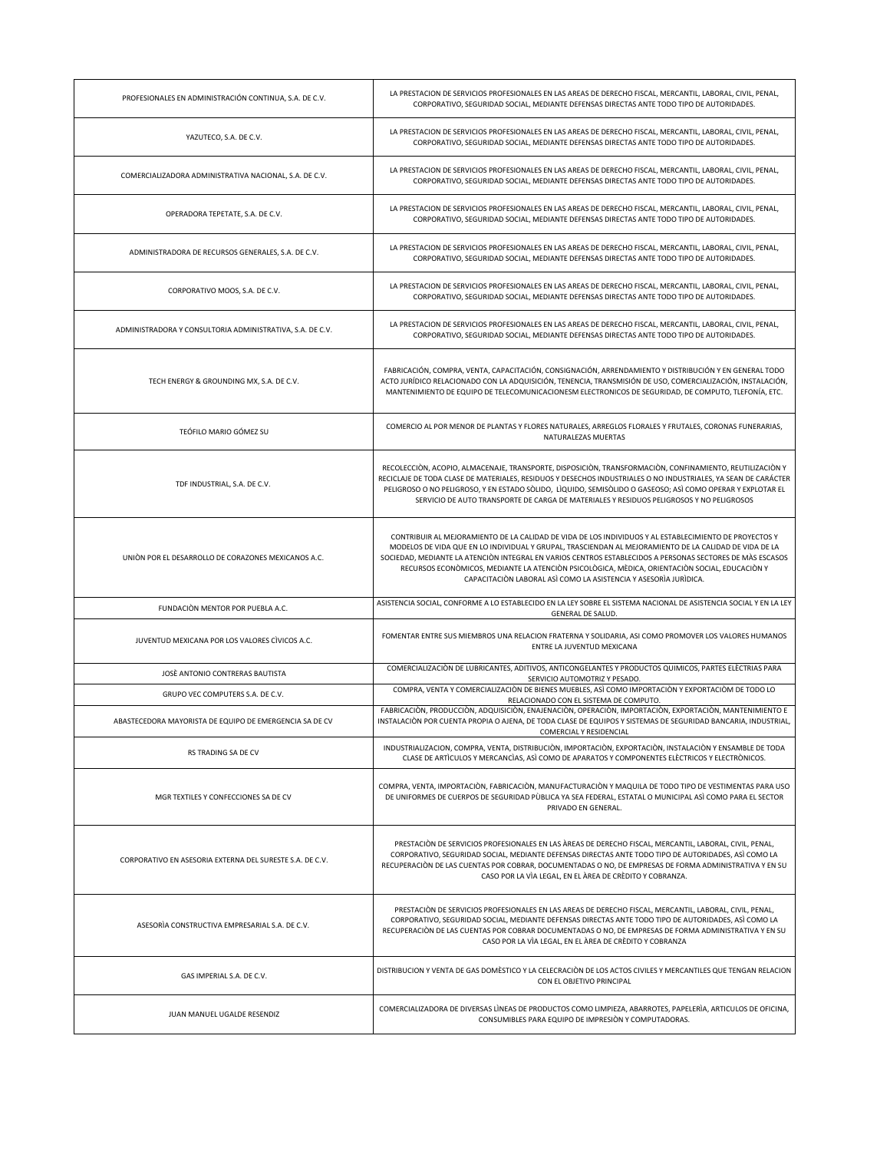| PROFESIONALES EN ADMINISTRACIÓN CONTINUA, S.A. DE C.V.    | LA PRESTACION DE SERVICIOS PROFESIONALES EN LAS AREAS DE DERECHO FISCAL, MERCANTIL, LABORAL, CIVIL, PENAL,<br>CORPORATIVO, SEGURIDAD SOCIAL, MEDIANTE DEFENSAS DIRECTAS ANTE TODO TIPO DE AUTORIDADES.                                                                                                                                                                                                                                                                                              |
|-----------------------------------------------------------|-----------------------------------------------------------------------------------------------------------------------------------------------------------------------------------------------------------------------------------------------------------------------------------------------------------------------------------------------------------------------------------------------------------------------------------------------------------------------------------------------------|
| YAZUTECO, S.A. DE C.V.                                    | LA PRESTACION DE SERVICIOS PROFESIONALES EN LAS AREAS DE DERECHO FISCAL, MERCANTIL, LABORAL, CIVIL, PENAL,<br>CORPORATIVO, SEGURIDAD SOCIAL, MEDIANTE DEFENSAS DIRECTAS ANTE TODO TIPO DE AUTORIDADES.                                                                                                                                                                                                                                                                                              |
| COMERCIALIZADORA ADMINISTRATIVA NACIONAL, S.A. DE C.V.    | LA PRESTACION DE SERVICIOS PROFESIONALES EN LAS AREAS DE DERECHO FISCAL, MERCANTIL, LABORAL, CIVIL, PENAL,<br>CORPORATIVO, SEGURIDAD SOCIAL, MEDIANTE DEFENSAS DIRECTAS ANTE TODO TIPO DE AUTORIDADES.                                                                                                                                                                                                                                                                                              |
| OPERADORA TEPETATE, S.A. DE C.V.                          | LA PRESTACION DE SERVICIOS PROFESIONALES EN LAS AREAS DE DERECHO FISCAL, MERCANTIL, LABORAL, CIVIL, PENAL,<br>CORPORATIVO, SEGURIDAD SOCIAL, MEDIANTE DEFENSAS DIRECTAS ANTE TODO TIPO DE AUTORIDADES.                                                                                                                                                                                                                                                                                              |
| ADMINISTRADORA DE RECURSOS GENERALES, S.A. DE C.V.        | LA PRESTACION DE SERVICIOS PROFESIONALES EN LAS AREAS DE DERECHO FISCAL, MERCANTIL, LABORAL, CIVIL, PENAL,<br>CORPORATIVO, SEGURIDAD SOCIAL, MEDIANTE DEFENSAS DIRECTAS ANTE TODO TIPO DE AUTORIDADES.                                                                                                                                                                                                                                                                                              |
| CORPORATIVO MOOS, S.A. DE C.V.                            | LA PRESTACION DE SERVICIOS PROFESIONALES EN LAS AREAS DE DERECHO FISCAL, MERCANTIL, LABORAL, CIVIL, PENAL,<br>CORPORATIVO, SEGURIDAD SOCIAL, MEDIANTE DEFENSAS DIRECTAS ANTE TODO TIPO DE AUTORIDADES.                                                                                                                                                                                                                                                                                              |
| ADMINISTRADORA Y CONSULTORIA ADMINISTRATIVA, S.A. DE C.V. | LA PRESTACION DE SERVICIOS PROFESIONALES EN LAS AREAS DE DERECHO FISCAL, MERCANTIL, LABORAL, CIVIL, PENAL,<br>CORPORATIVO, SEGURIDAD SOCIAL, MEDIANTE DEFENSAS DIRECTAS ANTE TODO TIPO DE AUTORIDADES.                                                                                                                                                                                                                                                                                              |
| TECH ENERGY & GROUNDING MX, S.A. DE C.V.                  | FABRICACIÓN, COMPRA, VENTA, CAPACITACIÓN, CONSIGNACIÓN, ARRENDAMIENTO Y DISTRIBUCIÓN Y EN GENERAL TODO<br>ACTO JURÍDICO RELACIONADO CON LA ADQUISICIÓN, TENENCIA, TRANSMISIÓN DE USO, COMERCIALIZACIÓN, INSTALACIÓN,<br>MANTENIMIENTO DE EQUIPO DE TELECOMUNICACIONESM ELECTRONICOS DE SEGURIDAD, DE COMPUTO, TLEFONÍA, ETC.                                                                                                                                                                        |
| TEÓFILO MARIO GÓMEZ SU                                    | COMERCIO AL POR MENOR DE PLANTAS Y FLORES NATURALES, ARREGLOS FLORALES Y FRUTALES, CORONAS FUNERARIAS,<br>NATURALEZAS MUERTAS                                                                                                                                                                                                                                                                                                                                                                       |
| TDF INDUSTRIAL, S.A. DE C.V.                              | RECOLECCIÒN, ACOPIO, ALMACENAJE, TRANSPORTE, DISPOSICIÒN, TRANSFORMACIÒN, CONFINAMIENTO, REUTILIZACIÒN Y<br>RECICLAJE DE TODA CLASE DE MATERIALES, RESIDUOS Y DESECHOS INDUSTRIALES O NO INDUSTRIALES, YA SEAN DE CARÁCTER<br>PELIGROSO O NO PELIGROSO, Y EN ESTADO SÒLIDO, LÌQUIDO, SEMISÒLIDO O GASEOSO; ASÌ COMO OPERAR Y EXPLOTAR EL<br>SERVICIO DE AUTO TRANSPORTE DE CARGA DE MATERIALES Y RESIDUOS PELIGROSOS Y NO PELIGROSOS                                                                |
| UNIÓN POR EL DESARROLLO DE CORAZONES MEXICANOS A.C.       | CONTRIBUIR AL MEJORAMIENTO DE LA CALIDAD DE VIDA DE LOS INDIVIDUOS Y AL ESTABLECIMIENTO DE PROYECTOS Y<br>MODELOS DE VIDA QUE EN LO INDIVIDUAL Y GRUPAL, TRASCIENDAN AL MEJORAMIENTO DE LA CALIDAD DE VIDA DE LA<br>SOCIEDAD, MEDIANTE LA ATENCIÓN INTEGRAL EN VARIOS CENTROS ESTABLECIDOS A PERSONAS SECTORES DE MÁS ESCASOS<br>RECURSOS ECONÒMICOS, MEDIANTE LA ATENCIÒN PSICOLÒGICA, MÈDICA, ORIENTACIÒN SOCIAL, EDUCACIÒN Y<br>CAPACITACIÓN LABORAL ASÍ COMO LA ASISTENCIA Y ASESORÍA JURÍDICA. |
| FUNDACIÓN MENTOR POR PUEBLA A.C.                          | ASISTENCIA SOCIAL, CONFORME A LO ESTABLECIDO EN LA LEY SOBRE EL SISTEMA NACIONAL DE ASISTENCIA SOCIAL Y EN LA LEY<br>GENERAL DE SALUD.                                                                                                                                                                                                                                                                                                                                                              |
| JUVENTUD MEXICANA POR LOS VALORES CÍVICOS A.C.            | FOMENTAR ENTRE SUS MIEMBROS UNA RELACION FRATERNA Y SOLIDARIA, ASI COMO PROMOVER LOS VALORES HUMANOS<br>ENTRE LA JUVENTUD MEXICANA                                                                                                                                                                                                                                                                                                                                                                  |
| JOSÈ ANTONIO CONTRERAS BAUTISTA                           | COMERCIALIZACIÓN DE LUBRICANTES, ADITIVOS, ANTICONGELANTES Y PRODUCTOS QUIMICOS, PARTES ELÈCTRIAS PARA<br>SERVICIO AUTOMOTRIZ Y PESADO.                                                                                                                                                                                                                                                                                                                                                             |
| GRUPO VEC COMPUTERS S.A. DE C.V.                          | COMPRA, VENTA Y COMERCIALIZACIÓN DE BIENES MUEBLES, ASÍ COMO IMPORTACIÓN Y EXPORTACIÓM DE TODO LO<br>RELACIONADO CON EL SISTEMA DE COMPUTO.                                                                                                                                                                                                                                                                                                                                                         |
| ABASTECEDORA MAYORISTA DE EQUIPO DE EMERGENCIA SA DE CV   | FABRICACIÓN, PRODUCCIÓN, ADQUISICIÓN, ENAJENACIÓN, OPERACIÓN, IMPORTACIÓN, EXPORTACIÓN, MANTENIMIENTO E<br>INSTALACIÒN POR CUENTA PROPIA O AJENA, DE TODA CLASE DE EQUIPOS Y SISTEMAS DE SEGURIDAD BANCARIA. INDUSTRIAL<br>COMERCIAL Y RESIDENCIAL                                                                                                                                                                                                                                                  |
| RS TRADING SA DE CV                                       | INDUSTRIALIZACION, COMPRA, VENTA, DISTRIBUCIÒN, IMPORTACIÒN, EXPORTACIÒN, INSTALACIÒN Y ENSAMBLE DE TODA<br>CLASE DE ARTÍCULOS Y MERCANCÍAS, ASÍ COMO DE APARATOS Y COMPONENTES ELÈCTRICOS Y ELECTRÓNICOS.                                                                                                                                                                                                                                                                                          |
| MGR TEXTILES Y CONFECCIONES SA DE CV                      | COMPRA, VENTA, IMPORTACIÒN, FABRICACIÒN, MANUFACTURACIÒN Y MAQUILA DE TODO TIPO DE VESTIMENTAS PARA USO<br>DE UNIFORMES DE CUERPOS DE SEGURIDAD PÙBLICA YA SEA FEDERAL, ESTATAL O MUNICIPAL ASÍ COMO PARA EL SECTOR<br>PRIVADO EN GENERAL.                                                                                                                                                                                                                                                          |
| CORPORATIVO EN ASESORIA EXTERNA DEL SURESTE S.A. DE C.V.  | PRESTACIÓN DE SERVICIOS PROFESIONALES EN LAS ÀREAS DE DERECHO FISCAL, MERCANTIL, LABORAL, CIVIL, PENAL,<br>CORPORATIVO, SEGURIDAD SOCIAL, MEDIANTE DEFENSAS DIRECTAS ANTE TODO TIPO DE AUTORIDADES, ASÍ COMO LA<br>RECUPERACIÓN DE LAS CUENTAS POR COBRAR, DOCUMENTADAS O NO, DE EMPRESAS DE FORMA ADMINISTRATIVA Y EN SU<br>CASO POR LA VÌA LEGAL, EN EL ÀREA DE CRÈDITO Y COBRANZA.                                                                                                               |
| ASESORÍA CONSTRUCTIVA EMPRESARIAL S.A. DE C.V.            | PRESTACIÓN DE SERVICIOS PROFESIONALES EN LAS AREAS DE DERECHO FISCAL, MERCANTIL, LABORAL, CIVIL, PENAL,<br>CORPORATIVO, SEGURIDAD SOCIAL, MEDIANTE DEFENSAS DIRECTAS ANTE TODO TIPO DE AUTORIDADES, ASÍ COMO LA<br>RECUPERACIÓN DE LAS CUENTAS POR COBRAR DOCUMENTADAS O NO, DE EMPRESAS DE FORMA ADMINISTRATIVA Y EN SU<br>CASO POR LA VÌA LEGAL, EN EL ÀREA DE CRÈDITO Y COBRANZA                                                                                                                 |
| GAS IMPERIAL S.A. DE C.V.                                 | DISTRIBUCION Y VENTA DE GAS DOMÈSTICO Y LA CELECRACIÓN DE LOS ACTOS CIVILES Y MERCANTILES QUE TENGAN RELACION<br>CON EL OBJETIVO PRINCIPAL                                                                                                                                                                                                                                                                                                                                                          |
|                                                           |                                                                                                                                                                                                                                                                                                                                                                                                                                                                                                     |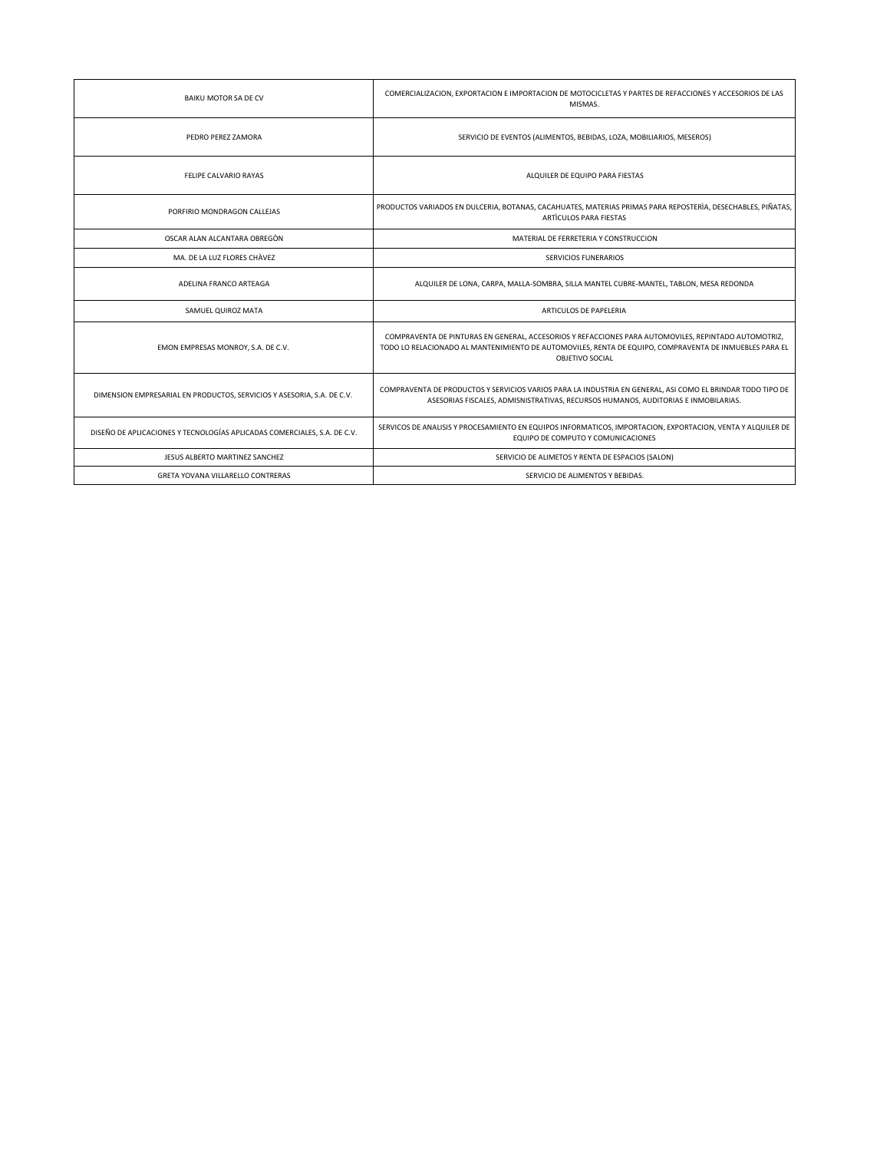| BAIKU MOTOR SA DE CV                                                     | COMERCIALIZACION, EXPORTACION E IMPORTACION DE MOTOCICLETAS Y PARTES DE REFACCIONES Y ACCESORIOS DE LAS<br>MISMAS.                                                                                                                |
|--------------------------------------------------------------------------|-----------------------------------------------------------------------------------------------------------------------------------------------------------------------------------------------------------------------------------|
| PEDRO PEREZ ZAMORA                                                       | SERVICIO DE EVENTOS (ALIMENTOS, BEBIDAS, LOZA, MOBILIARIOS, MESEROS)                                                                                                                                                              |
| FELIPE CALVARIO RAYAS                                                    | ALQUILER DE EQUIPO PARA FIESTAS                                                                                                                                                                                                   |
| PORFIRIO MONDRAGON CALLEJAS                                              | PRODUCTOS VARIADOS EN DULCERIA, BOTANAS, CACAHUATES, MATERIAS PRIMAS PARA REPOSTERÍA, DESECHABLES, PIÑATAS,<br>ARTÍCULOS PARA FIESTAS                                                                                             |
| OSCAR ALAN ALCANTARA OBREGÒN                                             | MATERIAL DE FERRETERIA Y CONSTRUCCION                                                                                                                                                                                             |
| MA. DE LA LUZ FLORES CHÀVEZ                                              | SERVICIOS FUNERARIOS                                                                                                                                                                                                              |
| ADELINA FRANCO ARTEAGA                                                   | ALQUILER DE LONA, CARPA, MALLA-SOMBRA, SILLA MANTEL CUBRE-MANTEL, TABLON, MESA REDONDA                                                                                                                                            |
| SAMUEL QUIROZ MATA                                                       | ARTICULOS DE PAPELERIA                                                                                                                                                                                                            |
| EMON EMPRESAS MONROY, S.A. DE C.V.                                       | COMPRAVENTA DE PINTURAS EN GENERAL, ACCESORIOS Y REFACCIONES PARA AUTOMOVILES, REPINTADO AUTOMOTRIZ,<br>TODO LO RELACIONADO AL MANTENIMIENTO DE AUTOMOVILES, RENTA DE EQUIPO, COMPRAVENTA DE INMUEBLES PARA EL<br>OBJETIVO SOCIAL |
| DIMENSION EMPRESARIAL EN PRODUCTOS, SERVICIOS Y ASESORIA, S.A. DE C.V.   | COMPRAVENTA DE PRODUCTOS Y SERVICIOS VARIOS PARA LA INDUSTRIA EN GENERAL, ASI COMO EL BRINDAR TODO TIPO DE<br>ASESORIAS FISCALES, ADMISNISTRATIVAS, RECURSOS HUMANOS, AUDITORIAS E INMOBILARIAS.                                  |
| DISEÑO DE APLICACIONES Y TECNOLOGÍAS APLICADAS COMERCIALES, S.A. DE C.V. | SERVICOS DE ANALISIS Y PROCESAMIENTO EN EQUIPOS INFORMATICOS, IMPORTACION, EXPORTACION, VENTA Y ALQUILER DE<br>EQUIPO DE COMPUTO Y COMUNICACIONES                                                                                 |
| JESUS ALBERTO MARTINEZ SANCHEZ                                           | SERVICIO DE ALIMETOS Y RENTA DE ESPACIOS (SALON)                                                                                                                                                                                  |
| GRETA YOVANA VILLARELLO CONTRERAS                                        | SERVICIO DE ALIMENTOS Y BEBIDAS.                                                                                                                                                                                                  |